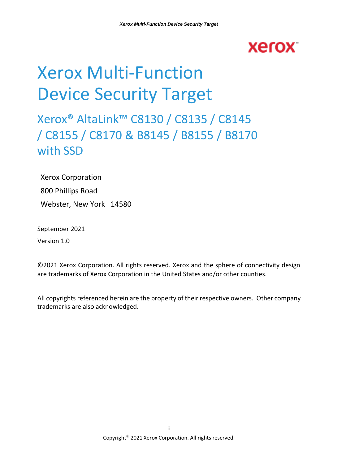## **Xerox**

# Xerox Multi-Function Device Security Target

## Xerox® AltaLink™ C8130 / C8135 / C8145 / C8155 / C8170 & B8145 / B8155 / B8170 with SSD

Xerox Corporation 800 Phillips Road Webster, New York 14580

September 2021

Version 1.0

©2021 Xerox Corporation. All rights reserved. Xerox and the sphere of connectivity design are trademarks of Xerox Corporation in the United States and/or other counties.

All copyrights referenced herein are the property of their respective owners. Other company trademarks are also acknowledged.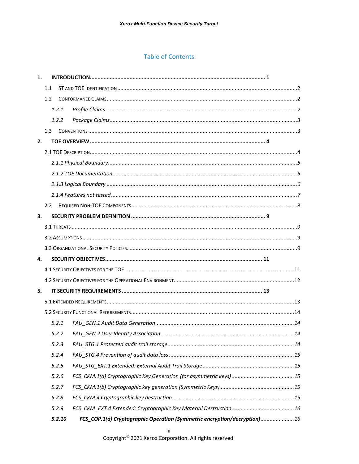#### **Table of Contents**

| 1. |               |        |                                                                           |
|----|---------------|--------|---------------------------------------------------------------------------|
|    | 1.1           |        |                                                                           |
|    | 1.2           |        |                                                                           |
|    |               | 1.2.1  |                                                                           |
|    |               | 1.2.2  |                                                                           |
|    |               |        |                                                                           |
| 2. |               |        |                                                                           |
|    |               |        |                                                                           |
|    |               |        |                                                                           |
|    |               |        |                                                                           |
|    |               |        |                                                                           |
|    |               |        |                                                                           |
|    | $2.2^{\circ}$ |        |                                                                           |
| 3. |               |        |                                                                           |
|    |               |        |                                                                           |
|    |               |        |                                                                           |
|    |               |        |                                                                           |
| 4. |               |        |                                                                           |
|    |               |        |                                                                           |
|    |               |        |                                                                           |
| 5. |               |        |                                                                           |
|    |               |        |                                                                           |
|    |               |        |                                                                           |
|    |               | 5.2.1  |                                                                           |
|    |               |        | 5.2.2 FAU GEN.2 User Identity Association<br>. 14                         |
|    |               | 5.2.3  |                                                                           |
|    |               | 5.2.4  |                                                                           |
|    |               | 5.2.5  |                                                                           |
|    |               | 5.2.6  |                                                                           |
|    |               | 5.2.7  |                                                                           |
|    |               | 5.2.8  |                                                                           |
|    |               | 5.2.9  |                                                                           |
|    |               | 5.2.10 | FCS_COP.1(a) Cryptographic Operation (Symmetric encryption/decryption) 16 |

Copyright<sup>®</sup> 2021 Xerox Corporation. All rights reserved.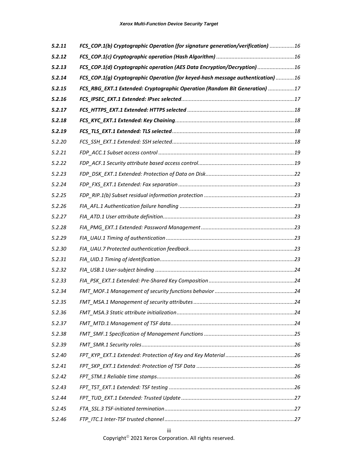| 5.2.11 | FCS_COP.1(b) Cryptographic Operation (for signature generation/verification) 16 |  |
|--------|---------------------------------------------------------------------------------|--|
| 5.2.12 |                                                                                 |  |
| 5.2.13 | FCS_COP.1(d) Cryptographic operation (AES Data Encryption/Decryption)  16       |  |
| 5.2.14 | FCS_COP.1(g) Cryptographic Operation (for keyed-hash message authentication) 16 |  |
| 5.2.15 | FCS_RBG_EXT.1 Extended: Cryptographic Operation (Random Bit Generation) 17      |  |
| 5.2.16 |                                                                                 |  |
| 5.2.17 |                                                                                 |  |
| 5.2.18 |                                                                                 |  |
| 5.2.19 |                                                                                 |  |
| 5.2.20 |                                                                                 |  |
| 5.2.21 |                                                                                 |  |
| 5.2.22 |                                                                                 |  |
| 5.2.23 |                                                                                 |  |
| 5.2.24 |                                                                                 |  |
| 5.2.25 |                                                                                 |  |
| 5.2.26 |                                                                                 |  |
| 5.2.27 |                                                                                 |  |
| 5.2.28 |                                                                                 |  |
| 5.2.29 |                                                                                 |  |
| 5.2.30 |                                                                                 |  |
| 5.2.31 |                                                                                 |  |
| 5.2.32 |                                                                                 |  |
| 5.2.33 |                                                                                 |  |
| 5.2.34 |                                                                                 |  |
| 5.2.35 |                                                                                 |  |
| 5.2.36 |                                                                                 |  |
| 5.2.37 |                                                                                 |  |
| 5.2.38 |                                                                                 |  |
| 5.2.39 |                                                                                 |  |
| 5.2.40 |                                                                                 |  |
| 5.2.41 |                                                                                 |  |
| 5.2.42 |                                                                                 |  |
| 5.2.43 |                                                                                 |  |
| 5.2.44 |                                                                                 |  |
| 5.2.45 |                                                                                 |  |
| 5.2.46 |                                                                                 |  |

Copyright© 2021 Xerox Corporation. All rights reserved.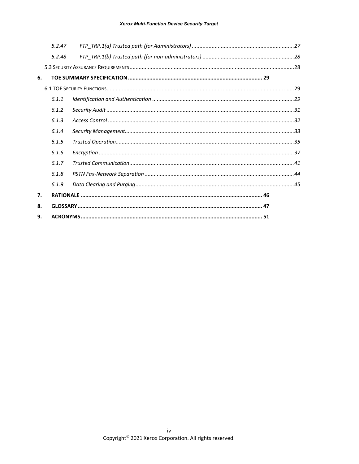|    | 5.2.47 |  |  |
|----|--------|--|--|
|    | 5.2.48 |  |  |
|    |        |  |  |
| 6. |        |  |  |
|    |        |  |  |
|    | 6.1.1  |  |  |
|    | 6.1.2  |  |  |
|    | 6.1.3  |  |  |
|    | 6.1.4  |  |  |
|    | 6.1.5  |  |  |
|    | 6.1.6  |  |  |
|    | 6.1.7  |  |  |
|    | 6.1.8  |  |  |
|    | 6.1.9  |  |  |
| 7. |        |  |  |
| 8. |        |  |  |
| 9. |        |  |  |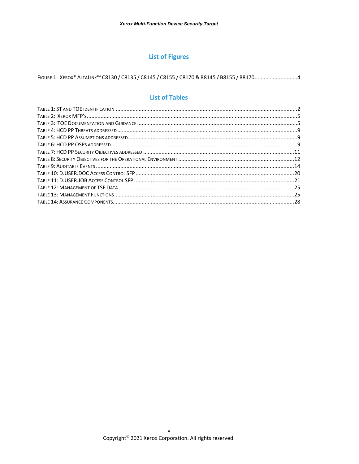#### **List of Figures**

#### **List of Tables**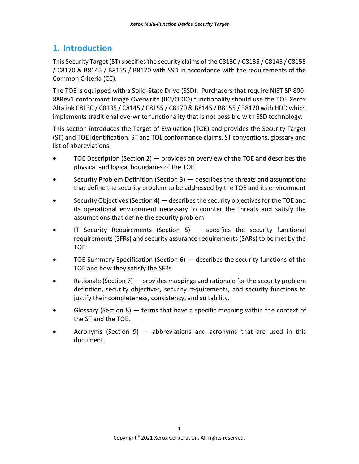## <span id="page-5-0"></span>**1. Introduction**

This Security Target (ST) specifies the security claims of the C8130 / C8135 / C8145 / C8155 / C8170 & B8145 / B8155 / B8170 with SSD in accordance with the requirements of the Common Criteria (CC).

The TOE is equipped with a Solid-State Drive (SSD). Purchasers that require NIST SP 800- 88Rev1 conformant Image Overwrite (IIO/ODIO) functionality should use the TOE Xerox Altalink C8130 / C8135 / C8145 / C8155 / C8170 & B8145 / B8155 / B8170 with HDD which implements traditional overwrite functionality that is not possible with SSD technology.

This section introduces the Target of Evaluation (TOE) and provides the Security Target (ST) and TOE identification, ST and TOE conformance claims, ST conventions, glossary and list of abbreviations.

- TOE Description (Section 2)  $-$  provides an overview of the TOE and describes the physical and logical boundaries of the TOE
- Security Problem Definition (Section 3) describes the threats and assumptions that define the security problem to be addressed by the TOE and its environment
- Security Objectives (Section 4) describes the security objectives for the TOE and its operational environment necessary to counter the threats and satisfy the assumptions that define the security problem
- IT Security Requirements (Section 5)  $-$  specifies the security functional requirements (SFRs) and security assurance requirements (SARs) to be met by the TOE
- TOE Summary Specification (Section 6) describes the security functions of the TOE and how they satisfy the SFRs
- Rationale (Section 7)  $-$  provides mappings and rationale for the security problem definition, security objectives, security requirements, and security functions to justify their completeness, consistency, and suitability.
- Glossary (Section 8)  $-$  terms that have a specific meaning within the context of the ST and the TOE.
- Acronyms (Section 9)  $-$  abbreviations and acronyms that are used in this document.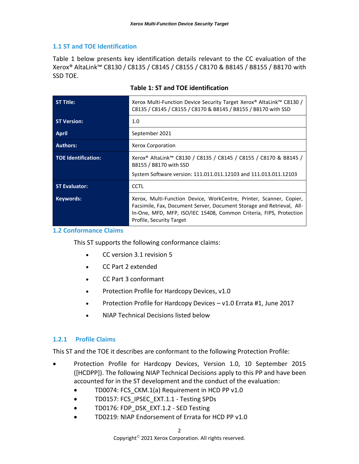#### <span id="page-6-0"></span>**1.1 ST and TOE Identification**

[Table 1](#page-6-3) below presents key identification details relevant to the CC evaluation of the Xerox® AltaLink™ C8130 / C8135 / C8145 / C8155 / C8170 & B8145 / B8155 / B8170 with SSD TOE.

<span id="page-6-3"></span>

| <b>ST Title:</b>           | Xerox Multi-Function Device Security Target Xerox® AltaLink™ C8130 /<br>C8135 / C8145 / C8155 / C8170 & B8145 / B8155 / B8170 with SSD                                                                                                         |
|----------------------------|------------------------------------------------------------------------------------------------------------------------------------------------------------------------------------------------------------------------------------------------|
| <b>ST Version:</b>         | 1.0                                                                                                                                                                                                                                            |
| <b>April</b>               | September 2021                                                                                                                                                                                                                                 |
| <b>Authors:</b>            | Xerox Corporation                                                                                                                                                                                                                              |
| <b>TOE Identification:</b> | Xerox® AltaLink™ C8130 / C8135 / C8145 / C8155 / C8170 & B8145 /<br>B8155 / B8170 with SSD<br>System Software version: 111.011.011.12103 and 111.013.011.12103                                                                                 |
| <b>ST Evaluator:</b>       | <b>CCTL</b>                                                                                                                                                                                                                                    |
| Keywords:                  | Xerox, Multi-Function Device, WorkCentre, Printer, Scanner, Copier,<br>Facsimile, Fax, Document Server, Document Storage and Retrieval, All-<br>In-One, MFD, MFP, ISO/IEC 15408, Common Criteria, FIPS, Protection<br>Profile, Security Target |

#### **Table 1: ST and TOE identification**

#### <span id="page-6-1"></span>**1.2 Conformance Claims**

This ST supports the following conformance claims:

- CC version 3.1 revision 5
- CC Part 2 extended
- CC Part 3 conformant
- Protection Profile for Hardcopy Devices, v1.0
- Protection Profile for Hardcopy Devices v1.0 Errata #1, June 2017
- NIAP Technical Decisions listed below

#### <span id="page-6-2"></span>**1.2.1 Profile Claims**

This ST and the TOE it describes are conformant to the following Protection Profile:

- Protection Profile for Hardcopy Devices, Version 1.0, 10 September 2015 ([HCDPP]). The following NIAP Technical Decisions apply to this PP and have been accounted for in the ST development and the conduct of the evaluation:
	- TD0074: FCS\_CKM.1(a) Requirement in HCD PP v1.0
	- TD0157: FCS\_IPSEC\_EXT.1.1 Testing SPDs
	- TD0176: FDP\_DSK\_EXT.1.2 SED Testing
	- TD0219: NIAP Endorsement of Errata for HCD PP v1.0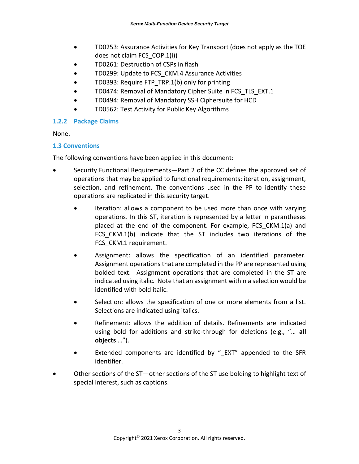- TD0253: Assurance Activities for Key Transport (does not apply as the TOE does not claim FCS\_COP.1(i))
- TD0261: Destruction of CSPs in flash
- TD0299: Update to FCS CKM.4 Assurance Activities
- TD0393: Require FTP\_TRP.1(b) only for printing
- TD0474: Removal of Mandatory Cipher Suite in FCS\_TLS\_EXT.1
- TD0494: Removal of Mandatory SSH Ciphersuite for HCD
- TD0562: Test Activity for Public Key Algorithms

#### <span id="page-7-0"></span>**1.2.2 Package Claims**

None.

#### <span id="page-7-1"></span>**1.3 Conventions**

The following conventions have been applied in this document:

- Security Functional Requirements—Part 2 of the CC defines the approved set of operations that may be applied to functional requirements: iteration, assignment, selection, and refinement. The conventions used in the PP to identify these operations are replicated in this security target.
	- Iteration: allows a component to be used more than once with varying operations. In this ST, iteration is represented by a letter in parantheses placed at the end of the component. For example, FCS\_CKM.1(a) and FCS CKM.1(b) indicate that the ST includes two iterations of the FCS CKM.1 requirement.
	- Assignment: allows the specification of an identified parameter. Assignment operations that are completed in the PP are represented using bolded text. Assignment operations that are completed in the ST are indicated using italic. Note that an assignment within a selection would be identified with bold italic.
	- Selection: allows the specification of one or more elements from a list. Selections are indicated using italics.
	- Refinement: allows the addition of details. Refinements are indicated using bold for additions and strike-through for deletions (e.g., "… **all objects** …").
	- Extended components are identified by "EXT" appended to the SFR identifier.
- Other sections of the ST-other sections of the ST use bolding to highlight text of special interest, such as captions.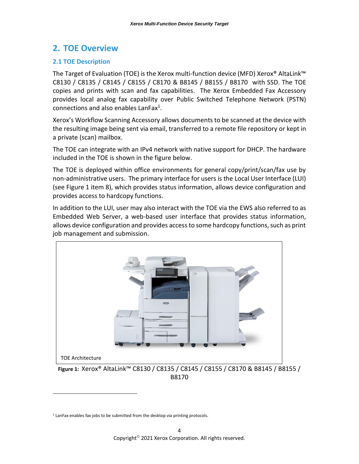## <span id="page-8-0"></span>**2. TOE Overview**

#### <span id="page-8-1"></span>**2.1 TOE Description**

The Target of Evaluation (TOE) is the Xerox multi-function device (MFD) Xerox® AltaLink™ C8130 / C8135 / C8145 / C8155 / C8170 & B8145 / B8155 / B8170 with SSD. The TOE copies and prints with scan and fax capabilities. The Xerox Embedded Fax Accessory provides local analog fax capability over Public Switched Telephone Network (PSTN) connections and also enables LanFax $^{1}$ .

Xerox's Workflow Scanning Accessory allows documents to be scanned at the device with the resulting image being sent via email, transferred to a remote file repository or kept in a private (scan) mailbox.

The TOE can integrate with an IPv4 network with native support for DHCP. The hardware included in the TOE is shown in the figure below.

The TOE is deployed within office environments for general copy/print/scan/fax use by non-administrative users. The primary interface for users is the Local User Interface (LUI) (see Figure 1 item 8), which provides status information, allows device configuration and provides access to hardcopy functions.

In addition to the LUI, user may also interact with the TOE via the EWS also referred to as Embedded Web Server, a web-based user interface that provides status information, allows device configuration and provides access to some hardcopy functions, such as print job management and submission.



B8170

<span id="page-8-2"></span> $<sup>1</sup>$  LanFax enables fax jobs to be submitted from the desktop via printing protocols.</sup>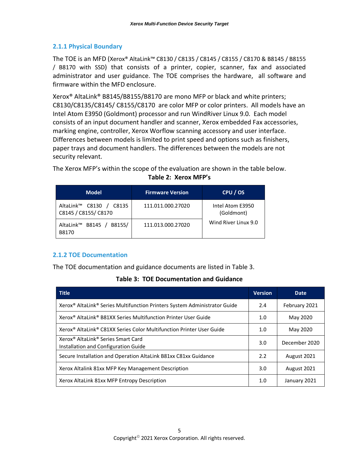#### <span id="page-9-0"></span>**2.1.1 Physical Boundary**

The TOE is an MFD (Xerox® AltaLink™ C8130 / C8135 / C8145 / C8155 / C8170 & B8145 / B8155 / B8170 with SSD) that consists of a printer, copier, scanner, fax and associated administrator and user guidance. The TOE comprises the hardware, all software and firmware within the MFD enclosure.

Xerox® AltaLink® B8145/B8155/B8170 are mono MFP or black and white printers; C8130/C8135/C8145/ C8155/C8170 are color MFP or color printers. All models have an Intel Atom E3950 (Goldmont) processor and run WindRiver Linux 9.0. Each model consists of an input document handler and scanner, Xerox embedded Fax accessories, marking engine, controller, Xerox Worflow scanning accessory and user interface. Differences between models is limited to print speed and options such as finishers, paper trays and document handlers. The differences between the models are not security relevant.

<span id="page-9-2"></span>The Xerox MFP's within the scope of the evaluation are shown in the table below. **Table 2: Xerox MFP's**

| <b>Model</b>                                     | <b>Firmware Version</b> | CPU / OS                       |
|--------------------------------------------------|-------------------------|--------------------------------|
| AltaLink™ C8130<br>C8135<br>C8145 / C8155/ C8170 | 111.011.000.27020       | Intel Atom E3950<br>(Goldmont) |
| AltaLink <sup>™</sup> B8145 /<br>B8155/<br>B8170 | 111.013.000.27020       | Wind River Linux 9.0           |

#### <span id="page-9-1"></span>**2.1.2 TOE Documentation**

<span id="page-9-3"></span>The TOE documentation and guidance documents are listed in Table 3.

#### **Table 3: TOE Documentation and Guidance**

| <b>Title</b>                                                                                       | <b>Version</b> | <b>Date</b>   |
|----------------------------------------------------------------------------------------------------|----------------|---------------|
| Xerox <sup>®</sup> AltaLink <sup>®</sup> Series Multifunction Printers System Administrator Guide  | 2.4            | February 2021 |
| Xerox <sup>®</sup> AltaLink® B81XX Series Multifunction Printer User Guide                         | 1.0            | May 2020      |
| Xerox® AltaLink® C81XX Series Color Multifunction Printer User Guide                               | 1.0            | May 2020      |
| Xerox <sup>®</sup> AltaLink <sup>®</sup> Series Smart Card<br>Installation and Configuration Guide | 3.0            | December 2020 |
| Secure Installation and Operation AltaLink B81xx C81xx Guidance                                    | 2.2            | August 2021   |
| Xerox Altalink 81xx MFP Key Management Description                                                 | 3.0            | August 2021   |
| Xerox AltaLink 81xx MFP Entropy Description                                                        | 1.0            | January 2021  |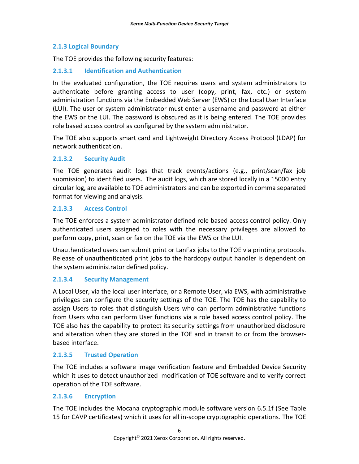#### <span id="page-10-0"></span>**2.1.3 Logical Boundary**

The TOE provides the following security features:

#### **2.1.3.1 Identification and Authentication**

In the evaluated configuration, the TOE requires users and system administrators to authenticate before granting access to user (copy, print, fax, etc.) or system administration functions via the Embedded Web Server (EWS) or the Local User Interface (LUI). The user or system administrator must enter a username and password at either the EWS or the LUI. The password is obscured as it is being entered. The TOE provides role based access control as configured by the system administrator.

The TOE also supports smart card and Lightweight Directory Access Protocol (LDAP) for network authentication.

#### **2.1.3.2 Security Audit**

The TOE generates audit logs that track events/actions (e.g., print/scan/fax job submission) to identified users. The audit logs, which are stored locally in a 15000 entry circular log, are available to TOE administrators and can be exported in comma separated format for viewing and analysis.

#### **2.1.3.3 Access Control**

The TOE enforces a system administrator defined role based access control policy. Only authenticated users assigned to roles with the necessary privileges are allowed to perform copy, print, scan or fax on the TOE via the EWS or the LUI.

Unauthenticated users can submit print or LanFax jobs to the TOE via printing protocols. Release of unauthenticated print jobs to the hardcopy output handler is dependent on the system administrator defined policy.

#### **2.1.3.4 Security Management**

A Local User, via the local user interface, or a Remote User, via EWS, with administrative privileges can configure the security settings of the TOE. The TOE has the capability to assign Users to roles that distinguish Users who can perform administrative functions from Users who can perform User functions via a role based access control policy. The TOE also has the capability to protect its security settings from unauthorized disclosure and alteration when they are stored in the TOE and in transit to or from the browserbased interface.

#### **2.1.3.5 Trusted Operation**

The TOE includes a software image verification feature and Embedded Device Security which it uses to detect unauthorized modification of TOE software and to verify correct operation of the TOE software.

#### **2.1.3.6 Encryption**

The TOE includes the Mocana cryptographic module software version 6.5.1f (See Table 15 for CAVP certificates) which it uses for all in-scope cryptographic operations. The TOE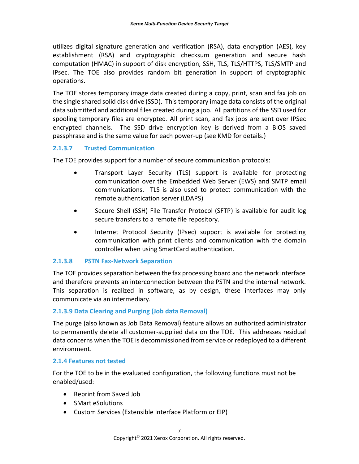utilizes digital signature generation and verification (RSA), data encryption (AES), key establishment (RSA) and cryptographic checksum generation and secure hash computation (HMAC) in support of disk encryption, SSH, TLS, TLS/HTTPS, TLS/SMTP and IPsec. The TOE also provides random bit generation in support of cryptographic operations.

The TOE stores temporary image data created during a copy, print, scan and fax job on the single shared solid disk drive (SSD). This temporary image data consists of the original data submitted and additional files created during a job. All partitions of the SSD used for spooling temporary files are encrypted. All print scan, and fax jobs are sent over IPSec encrypted channels. The SSD drive encryption key is derived from a BIOS saved passphrase and is the same value for each power-up (see KMD for details.)

#### **2.1.3.7 Trusted Communication**

The TOE provides support for a number of secure communication protocols:

- Transport Layer Security (TLS) support is available for protecting communication over the Embedded Web Server (EWS) and SMTP email communications. TLS is also used to protect communication with the remote authentication server (LDAPS)
- Secure Shell (SSH) File Transfer Protocol (SFTP) is available for audit log secure transfers to a remote file repository.
- Internet Protocol Security (IPsec) support is available for protecting communication with print clients and communication with the domain controller when using SmartCard authentication.

#### **2.1.3.8 PSTN Fax-Network Separation**

The TOE provides separation between the fax processing board and the network interface and therefore prevents an interconnection between the PSTN and the internal network. This separation is realized in software, as by design, these interfaces may only communicate via an intermediary.

#### **2.1.3.9 Data Clearing and Purging (Job data Removal)**

The purge (also known as Job Data Removal) feature allows an authorized administrator to permanently delete all customer-supplied data on the TOE. This addresses residual data concerns when the TOE is decommissioned from service or redeployed to a different environment.

#### <span id="page-11-0"></span>**2.1.4 Features not tested**

For the TOE to be in the evaluated configuration, the following functions must not be enabled/used:

- Reprint from Saved Job
- SMart eSolutions
- Custom Services (Extensible Interface Platform or EIP)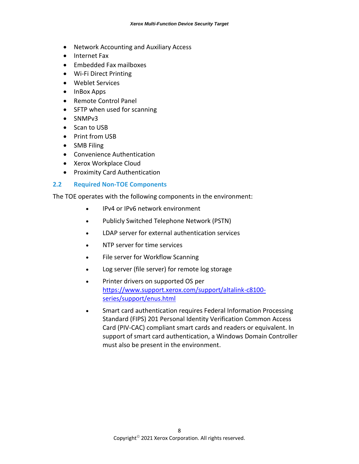- Network Accounting and Auxiliary Access
- Internet Fax
- Embedded Fax mailboxes
- Wi-Fi Direct Printing
- Weblet Services
- InBox Apps
- Remote Control Panel
- SFTP when used for scanning
- SNMPv3
- Scan to USB
- Print from USB
- SMB Filing
- Convenience Authentication
- Xerox Workplace Cloud
- Proximity Card Authentication

#### <span id="page-12-0"></span>**2.2 Required Non-TOE Components**

The TOE operates with the following components in the environment:

- IPv4 or IPv6 network environment
- Publicly Switched Telephone Network (PSTN)
- LDAP server for external authentication services
- NTP server for time services
- File server for Workflow Scanning
- Log server (file server) for remote log storage
- Printer drivers on supported OS per [https://www.support.xerox.com/support/altalink-c8100](https://www.support.xerox.com/support/altalink-c8100-series/support/enus.html) [series/support/enus.html](https://www.support.xerox.com/support/altalink-c8100-series/support/enus.html)
- Smart card authentication requires Federal Information Processing Standard (FIPS) 201 Personal Identity Verification Common Access Card (PIV-CAC) compliant smart cards and readers or equivalent. In support of smart card authentication, a Windows Domain Controller must also be present in the environment.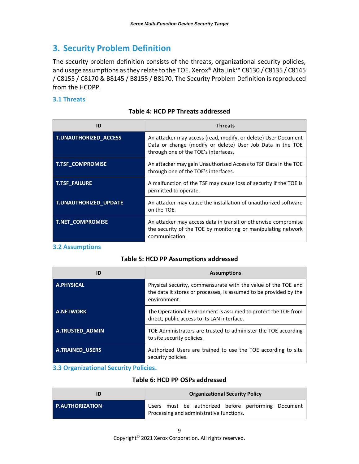## <span id="page-13-0"></span>**3. Security Problem Definition**

The security problem definition consists of the threats, organizational security policies, and usage assumptions as they relate to the TOE. Xerox® AltaLink™ C8130 / C8135 / C8145 / C8155 / C8170 & B8145 / B8155 / B8170. The Security Problem Definition is reproduced from the HCDPP.

#### <span id="page-13-4"></span><span id="page-13-1"></span>**3.1 Threats**

| ID                      | <b>Threats</b>                                                                                                                                                       |
|-------------------------|----------------------------------------------------------------------------------------------------------------------------------------------------------------------|
| T.UNAUTHORIZED_ACCESS   | An attacker may access (read, modify, or delete) User Document<br>Data or change (modify or delete) User Job Data in the TOE<br>through one of the TOE's interfaces. |
| <b>T.TSF COMPROMISE</b> | An attacker may gain Unauthorized Access to TSF Data in the TOE<br>through one of the TOE's interfaces.                                                              |
| <b>T.TSF FAILURE</b>    | A malfunction of the TSF may cause loss of security if the TOE is<br>permitted to operate.                                                                           |
| T.UNAUTHORIZED_UPDATE   | An attacker may cause the installation of unauthorized software<br>on the TOE.                                                                                       |
| T.NET_COMPROMISE        | An attacker may access data in transit or otherwise compromise<br>the security of the TOE by monitoring or manipulating network<br>communication.                    |

#### **Table 4: HCD PP Threats addressed**

#### <span id="page-13-5"></span><span id="page-13-2"></span>**3.2 Assumptions**

#### **Table 5: HCD PP Assumptions addressed**

| ID                     | <b>Assumptions</b>                                                                                                                                 |
|------------------------|----------------------------------------------------------------------------------------------------------------------------------------------------|
| <b>A.PHYSICAL</b>      | Physical security, commensurate with the value of the TOE and<br>the data it stores or processes, is assumed to be provided by the<br>environment. |
| <b>A.NETWORK</b>       | The Operational Environment is assumed to protect the TOE from<br>direct, public access to its LAN interface.                                      |
| <b>A.TRUSTED ADMIN</b> | TOE Administrators are trusted to administer the TOE according<br>to site security policies.                                                       |
| <b>A.TRAINED USERS</b> | Authorized Users are trained to use the TOE according to site<br>security policies.                                                                |

#### <span id="page-13-6"></span><span id="page-13-3"></span>**3.3 Organizational Security Policies.**

#### **Table 6: HCD PP OSPs addressed**

|                        | <b>Organizational Security Policy</b>                                                           |
|------------------------|-------------------------------------------------------------------------------------------------|
| <b>P.AUTHORIZATION</b> | Users must be authorized before performing Document<br>Processing and administrative functions. |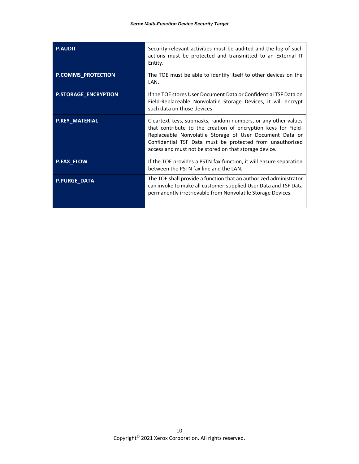| <b>P.AUDIT</b>              | Security-relevant activities must be audited and the log of such<br>actions must be protected and transmitted to an External IT<br>Entity.                                                                                                                                                                       |
|-----------------------------|------------------------------------------------------------------------------------------------------------------------------------------------------------------------------------------------------------------------------------------------------------------------------------------------------------------|
| <b>P.COMMS_PROTECTION</b>   | The TOE must be able to identify itself to other devices on the<br>LAN.                                                                                                                                                                                                                                          |
| <b>P.STORAGE_ENCRYPTION</b> | If the TOE stores User Document Data or Confidential TSF Data on<br>Field-Replaceable Nonvolatile Storage Devices, it will encrypt<br>such data on those devices.                                                                                                                                                |
| P.KEY_MATERIAL              | Cleartext keys, submasks, random numbers, or any other values<br>that contribute to the creation of encryption keys for Field-<br>Replaceable Nonvolatile Storage of User Document Data or<br>Confidential TSF Data must be protected from unauthorized<br>access and must not be stored on that storage device. |
| <b>P.FAX_FLOW</b>           | If the TOE provides a PSTN fax function, it will ensure separation<br>between the PSTN fax line and the LAN.                                                                                                                                                                                                     |
| <b>P.PURGE_DATA</b>         | The TOE shall provide a function that an authorized administrator<br>can invoke to make all customer-supplied User Data and TSF Data<br>permanently irretrievable from Nonvolatile Storage Devices.                                                                                                              |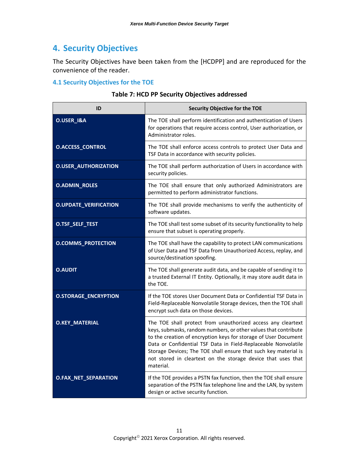## <span id="page-15-0"></span>**4. Security Objectives**

The Security Objectives have been taken from the [HCDPP] and are reproduced for the convenience of the reader.

#### <span id="page-15-2"></span><span id="page-15-1"></span>**4.1 Security Objectives for the TOE**

#### **Table 7: HCD PP Security Objectives addressed**

| ID                           | Security Objective for the TOE                                                                                                                                                                                                                                                                                                                                                                                       |
|------------------------------|----------------------------------------------------------------------------------------------------------------------------------------------------------------------------------------------------------------------------------------------------------------------------------------------------------------------------------------------------------------------------------------------------------------------|
| O.USER_I&A                   | The TOE shall perform identification and authentication of Users<br>for operations that require access control, User authorization, or<br>Administrator roles.                                                                                                                                                                                                                                                       |
| <b>O.ACCESS_CONTROL</b>      | The TOE shall enforce access controls to protect User Data and<br>TSF Data in accordance with security policies.                                                                                                                                                                                                                                                                                                     |
| <b>O.USER_AUTHORIZATION</b>  | The TOE shall perform authorization of Users in accordance with<br>security policies.                                                                                                                                                                                                                                                                                                                                |
| <b>O.ADMIN_ROLES</b>         | The TOE shall ensure that only authorized Administrators are<br>permitted to perform administrator functions.                                                                                                                                                                                                                                                                                                        |
| <b>O.UPDATE_VERIFICATION</b> | The TOE shall provide mechanisms to verify the authenticity of<br>software updates.                                                                                                                                                                                                                                                                                                                                  |
| O.TSF_SELF_TEST              | The TOE shall test some subset of its security functionality to help<br>ensure that subset is operating properly.                                                                                                                                                                                                                                                                                                    |
| <b>O.COMMS_PROTECTION</b>    | The TOE shall have the capability to protect LAN communications<br>of User Data and TSF Data from Unauthorized Access, replay, and<br>source/destination spoofing.                                                                                                                                                                                                                                                   |
| <b>O.AUDIT</b>               | The TOE shall generate audit data, and be capable of sending it to<br>a trusted External IT Entity. Optionally, it may store audit data in<br>the TOE.                                                                                                                                                                                                                                                               |
| <b>O.STORAGE_ENCRYPTION</b>  | If the TOE stores User Document Data or Confidential TSF Data in<br>Field-Replaceable Nonvolatile Storage devices, then the TOE shall<br>encrypt such data on those devices.                                                                                                                                                                                                                                         |
| <b>O.KEY_MATERIAL</b>        | The TOE shall protect from unauthorized access any cleartext<br>keys, submasks, random numbers, or other values that contribute<br>to the creation of encryption keys for storage of User Document<br>Data or Confidential TSF Data in Field-Replaceable Nonvolatile<br>Storage Devices; The TOE shall ensure that such key material is<br>not stored in cleartext on the storage device that uses that<br>material. |
| O.FAX_NET_SEPARATION         | If the TOE provides a PSTN fax function, then the TOE shall ensure<br>separation of the PSTN fax telephone line and the LAN, by system<br>design or active security function.                                                                                                                                                                                                                                        |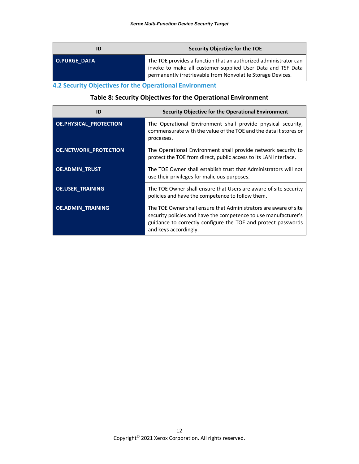|                     | Security Objective for the TOE                                                                                                                                                                 |
|---------------------|------------------------------------------------------------------------------------------------------------------------------------------------------------------------------------------------|
| <b>O.PURGE DATA</b> | The TOE provides a function that an authorized administrator can<br>invoke to make all customer-supplied User Data and TSF Data<br>permanently irretrievable from Nonvolatile Storage Devices. |

<span id="page-16-1"></span><span id="page-16-0"></span>**4.2 Security Objectives for the Operational Environment**

#### **Table 8: Security Objectives for the Operational Environment**

| ID                            | Security Objective for the Operational Environment                                                                                                                                                                            |
|-------------------------------|-------------------------------------------------------------------------------------------------------------------------------------------------------------------------------------------------------------------------------|
| <b>OE.PHYSICAL_PROTECTION</b> | The Operational Environment shall provide physical security,<br>commensurate with the value of the TOE and the data it stores or<br>processes.                                                                                |
| <b>OE.NETWORK_PROTECTION</b>  | The Operational Environment shall provide network security to<br>protect the TOE from direct, public access to its LAN interface.                                                                                             |
| <b>OE.ADMIN TRUST</b>         | The TOE Owner shall establish trust that Administrators will not<br>use their privileges for malicious purposes.                                                                                                              |
| <b>OE.USER TRAINING</b>       | The TOE Owner shall ensure that Users are aware of site security<br>policies and have the competence to follow them.                                                                                                          |
| <b>OE.ADMIN_TRAINING</b>      | The TOE Owner shall ensure that Administrators are aware of site<br>security policies and have the competence to use manufacturer's<br>guidance to correctly configure the TOE and protect passwords<br>and keys accordingly. |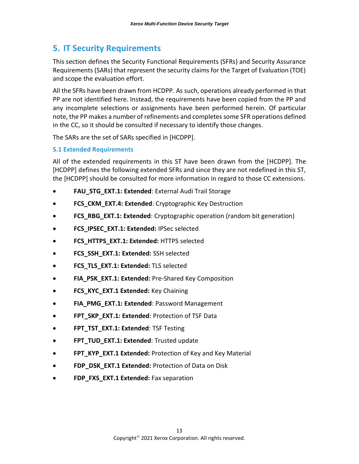## <span id="page-17-0"></span>**5. IT Security Requirements**

This section defines the Security Functional Requirements (SFRs) and Security Assurance Requirements (SARs) that represent the security claims for the Target of Evaluation (TOE) and scope the evaluation effort.

All the SFRs have been drawn from HCDPP. As such, operations already performed in that PP are not identified here. Instead, the requirements have been copied from the PP and any incomplete selections or assignments have been performed herein. Of particular note, the PP makes a number of refinements and completes some SFR operations defined in the CC, so it should be consulted if necessary to identify those changes.

The SARs are the set of SARs specified in [HCDPP].

#### <span id="page-17-1"></span>**5.1 Extended Requirements**

All of the extended requirements in this ST have been drawn from the [HCDPP]. The [HCDPP] defines the following extended SFRs and since they are not redefined in this ST, the [HCDPP] should be consulted for more information in regard to those CC extensions.

- **FAU\_STG\_EXT.1: Extended**: External Audi Trail Storage
- **FCS\_CKM\_EXT.4: Extended**: Cryptographic Key Destruction
- **FCS\_RBG\_EXT.1: Extended**: Cryptographic operation (random bit generation)
- **FCS\_IPSEC\_EXT.1: Extended:** IPSec selected
- **FCS\_HTTPS\_EXT.1: Extended:** HTTPS selected
- **FCS\_SSH\_EXT.1: Extended:** SSH selected
- **FCS\_TLS\_EXT.1: Extended:** TLS selected
- **FIA\_PSK\_EXT.1: Extended: Pre-Shared Key Composition**
- **FCS\_KYC\_EXT.1 Extended:** Key Chaining
- **FIA\_PMG\_EXT.1: Extended: Password Management**
- **FPT\_SKP\_EXT.1: Extended**: Protection of TSF Data
- **FPT\_TST\_EXT.1: Extended: TSF Testing**
- **FPT\_TUD\_EXT.1: Extended**: Trusted update
- **FPT\_KYP\_EXT.1 Extended:** Protection of Key and Key Material
- **FDP\_DSK\_EXT.1 Extended:** Protection of Data on Disk
- **FDP\_FXS\_EXT.1 Extended: Fax separation**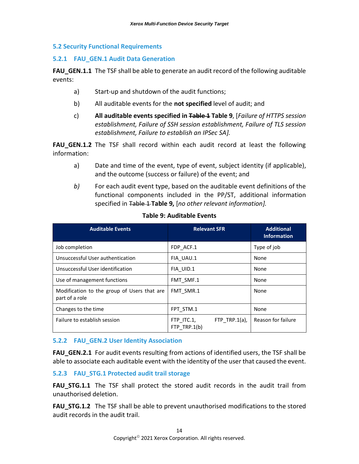#### <span id="page-18-0"></span>**5.2 Security Functional Requirements**

#### <span id="page-18-1"></span>**5.2.1 FAU\_GEN.1 Audit Data Generation**

**FAU\_GEN.1.1** The TSF shall be able to generate an audit record of the following auditable events:

- a) Start-up and shutdown of the audit functions;
- b) All auditable events for the **not specified** level of audit; and
- c) **All auditable events specified in Table 1 [Table 9](#page-18-4)**, [*Failure of HTTPS session establishment, Failure of SSH session establishment, Failure of TLS session establishment, Failure to establish an IPSec SA].*

**FAU\_GEN.1.2** The TSF shall record within each audit record at least the following information:

- a) Date and time of the event, type of event, subject identity (if applicable), and the outcome (success or failure) of the event; and
- *b)* For each audit event type, based on the auditable event definitions of the functional components included in the PP/ST, additional information specified in Table 1 **[Table 9,](#page-18-4)** [*no other relevant information].*

<span id="page-18-4"></span>

| <b>Auditable Events</b>                                       | <b>Relevant SFR</b>                             | <b>Additional</b><br><b>Information</b> |
|---------------------------------------------------------------|-------------------------------------------------|-----------------------------------------|
| Job completion                                                | FDP ACF.1                                       | Type of job                             |
| Unsuccessful User authentication                              | FIA UAU.1                                       | None                                    |
| Unsuccessful User identification                              | FIA UID.1                                       | None                                    |
| Use of management functions                                   | FMT SMF.1                                       | None                                    |
| Modification to the group of Users that are<br>part of a role | FMT SMR.1                                       | None                                    |
| Changes to the time                                           | FPT STM.1                                       | None                                    |
| Failure to establish session                                  | FTP TRP.1 $(a)$ ,<br>FTP ITC.1,<br>FTP TRP.1(b) | Reason for failure                      |

#### **Table 9: Auditable Events**

#### <span id="page-18-2"></span>**5.2.2 FAU\_GEN.2 User Identity Association**

**FAU GEN.2.1** For audit events resulting from actions of identified users, the TSF shall be able to associate each auditable event with the identity of the user that caused the event.

#### <span id="page-18-3"></span>**5.2.3 FAU\_STG.1 Protected audit trail storage**

**FAU\_STG.1.1** The TSF shall protect the stored audit records in the audit trail from unauthorised deletion.

**FAU STG.1.2** The TSF shall be able to prevent unauthorised modifications to the stored audit records in the audit trail.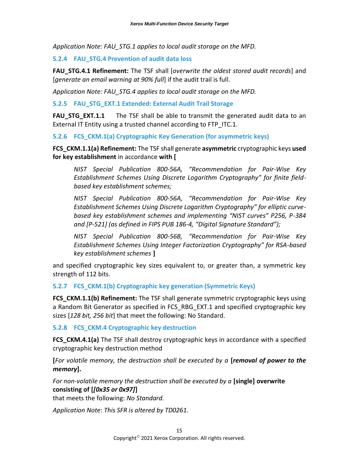*Application Note: FAU\_STG.1 applies to local audit storage on the MFD.*

#### <span id="page-19-0"></span>**5.2.4 FAU\_STG.4 Prevention of audit data loss**

**FAU\_STG.4.1 Refinement:** The TSF shall [*overwrite the oldest stored audit records*] and [*generate an email warning at 90% full*] if the audit trail is full.

*Application Note: FAU\_STG.4 applies to local audit storage on the MFD.*

<span id="page-19-1"></span>**5.2.5 FAU\_STG\_EXT.1 Extended: External Audit Trail Storage**

**FAU STG EXT.1.1** The TSF shall be able to transmit the generated audit data to an External IT Entity using a trusted channel according to FTP ITC.1.

<span id="page-19-2"></span>**5.2.6 FCS\_CKM.1(a) Cryptographic Key Generation (for asymmetric keys)**

**FCS\_CKM.1.1(a) Refinement:** The TSF shall generate **asymmetric** cryptographic keys **used for key establishment** in accordance **with [**

*NIST Special Publication 800-56A, "Recommendation for Pair-Wise Key Establishment Schemes Using Discrete Logarithm Cryptography" for finite fieldbased key establishment schemes;*

*NIST Special Publication 800-56A, "Recommendation for Pair-Wise Key Establishment Schemes Using Discrete Logarithm Cryptography" for elliptic curvebased key establishment schemes and implementing "NIST curves" P256, P-384 and [P-521] (as defined in FIPS PUB 186-4, "Digital Signature Standard");* 

*NIST Special Publication 800-56B, "Recommendation for Pair-Wise Key Establishment Schemes Using Integer Factorization Cryptography" for RSA-based key establishment schemes* **]** 

and specified cryptographic key sizes equivalent to, or greater than, a symmetric key strength of 112 bits.

<span id="page-19-3"></span>**5.2.7 FCS\_CKM.1(b) Cryptographic key generation (Symmetric Keys)**

FCS CKM.1.1(b) Refinement: The TSF shall generate symmetric cryptographic keys using a Random Bit Generator as specified in FCS RBG EXT.1 and specified cryptographic key sizes [*128 bit, 256 bit*] that meet the following: No Standard.

<span id="page-19-4"></span>**5.2.8 FCS\_CKM.4 Cryptographic key destruction**

**FCS CKM.4.1(a)** The TSF shall destroy cryptographic keys in accordance with a specified cryptographic key destruction method

**[***For volatile memory, the destruction shall be executed by a* **[***removal of power to the memory***].**

*For non-volatile memory the destruction shall be executed by a* **[single] overwrite consisting of [***[0x35 or 0x97]***]**

that meets the following: *No Standard.*

*Application Note: This SFR is altered by TD0261.*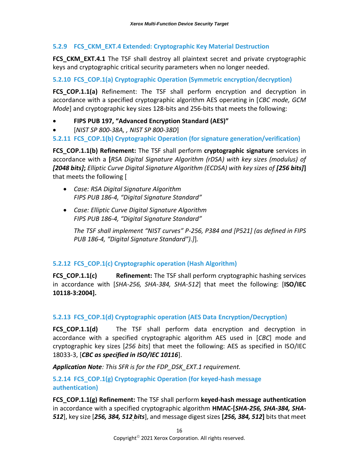#### <span id="page-20-0"></span>**5.2.9 FCS\_CKM\_EXT.4 Extended: Cryptographic Key Material Destruction**

**FCS CKM EXT.4.1** The TSF shall destroy all plaintext secret and private cryptographic keys and cryptographic critical security parameters when no longer needed.

#### <span id="page-20-1"></span>**5.2.10 FCS\_COP.1(a) Cryptographic Operation (Symmetric encryption/decryption)**

**FCS COP.1.1(a)** Refinement: The TSF shall perform encryption and decryption in accordance with a specified cryptographic algorithm AES operating in [*CBC mode, GCM Mode*] and cryptographic key sizes 128-bits and 256-bits that meets the following:

- **FIPS PUB 197, "Advanced Encryption Standard (AES)"**
- [*NIST SP 800-38A, , NIST SP 800-38D*]

<span id="page-20-2"></span>**5.2.11 FCS\_COP.1(b) Cryptographic Operation (for signature generation/verification)**

**FCS\_COP.1.1(b) Refinement:** The TSF shall perform **cryptographic signature** services in accordance with a **[***RSA Digital Signature Algorithm (rDSA) with key sizes (modulus) of [2048 bits]***;** *Elliptic Curve Digital Signature Algorithm (ECDSA) with key sizes of [256 bits]***]** that meets the following [

- *Case: RSA Digital Signature Algorithm FIPS PUB 186-4, "Digital Signature Standard"*
- *Case: Elliptic Curve Digital Signature Algorithm FIPS PUB 186-4, "Digital Signature Standard"*

*The TSF shall implement "NIST curves" P-256, P384 and [P521] (as defined in FIPS PUB 186-4, "Digital Signature Standard").]*]*.*

#### <span id="page-20-3"></span>**5.2.12 FCS\_COP.1(c) Cryptographic operation (Hash Algorithm)**

**FCS COP.1.1(c) Refinement:** The TSF shall perform cryptographic hashing services in accordance with [*SHA-256, SHA-384, SHA-512*] that meet the following: [**ISO/IEC 10118-3:2004].**

#### <span id="page-20-4"></span>**5.2.13 FCS\_COP.1(d) Cryptographic operation (AES Data Encryption/Decryption)**

**FCS COP.1.1(d)** The TSF shall perform data encryption and decryption in accordance with a specified cryptographic algorithm AES used in [*CBC*] mode and cryptographic key sizes [*256 bits*] that meet the following: AES as specified in ISO/IEC 18033-3, [*CBC as specified in ISO/IEC 10116*].

*Application Note: This SFR is for the FDP\_DSK\_EXT.1 requirement.*

#### <span id="page-20-5"></span>**5.2.14 FCS\_COP.1(g) Cryptographic Operation (for keyed-hash message authentication)**

**FCS\_COP.1.1(g) Refinement:** The TSF shall perform **keyed-hash message authentication** in accordance with a specified cryptographic algorithm **HMAC-[***SHA-256, SHA-384, SHA-512*], key size [*256, 384, 512 bits*], and message digest sizes **[***256, 384, 512***]** bits that meet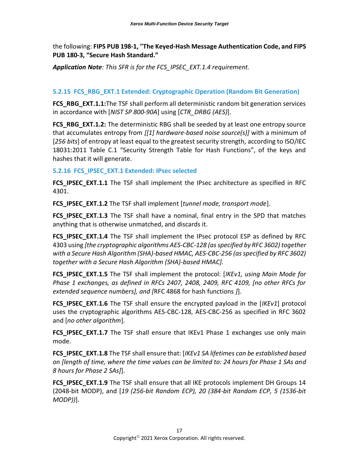the following: **FIPS PUB 198-1, "The Keyed-Hash Message Authentication Code, and FIPS PUB 180-3, "Secure Hash Standard."**

*Application Note: This SFR is for the FCS\_IPSEC\_EXT.1.4 requirement.*

#### <span id="page-21-0"></span>**5.2.15 FCS\_RBG\_EXT.1 Extended: Cryptographic Operation (Random Bit Generation)**

**FCS\_RBG\_EXT.1.1:**The TSF shall perform all deterministic random bit generation services in accordance with [*NIST SP 800-90A*] using [*CTR\_DRBG (AES)*].

**FCS RBG EXT.1.2:** The deterministic RBG shall be seeded by at least one entropy source that accumulates entropy from *[[1] hardware-based noise source(s)]* with a minimum of [*256 bits*] of entropy at least equal to the greatest security strength, according to ISO/IEC 18031:2011 Table C.1 "Security Strength Table for Hash Functions", of the keys and hashes that it will generate.

#### <span id="page-21-1"></span>**5.2.16 FCS\_IPSEC\_EXT.1 Extended: IPsec selected**

**FCS\_IPSEC\_EXT.1.1** The TSF shall implement the IPsec architecture as specified in RFC 4301.

FCS IPSEC EXT.1.2 The TSF shall implement [*tunnel mode, transport mode*].

**FCS\_IPSEC\_EXT.1.3** The TSF shall have a nominal, final entry in the SPD that matches anything that is otherwise unmatched, and discards it.

**FCS IPSEC EXT.1.4** The TSF shall implement the IPsec protocol ESP as defined by RFC 4303 using *[the cryptographic algorithms AES-CBC-128 (as specified by RFC 3602) together with a Secure Hash Algorithm (SHA)-based HMAC, AES-CBC-256 (as specified by RFC 3602) together with a Secure Hash Algorithm (SHA)-based HMAC].*

**FCS\_IPSEC\_EXT.1.5** The TSF shall implement the protocol: [*IKEv1, using Main Mode for Phase 1 exchanges, as defined in RFCs 2407, 2408, 2409, RFC 4109, [no other RFCs for extended sequence numbers], and [*RFC 4868 for hash functions *]*].

**FCS IPSEC EXT.1.6** The TSF shall ensure the encrypted payload in the [*IKEv1*] protocol uses the cryptographic algorithms AES-CBC-128, AES-CBC-256 as specified in RFC 3602 and [*no other algorithm*].

**FCS IPSEC EXT.1.7** The TSF shall ensure that IKEv1 Phase 1 exchanges use only main mode.

**FCS\_IPSEC\_EXT.1.8** The TSF shall ensure that: [*IKEv1 SA lifetimes can be established based on [length of time, where the time values can be limited to: 24 hours for Phase 1 SAs and 8 hours for Phase 2 SAs]*].

**FCS\_IPSEC\_EXT.1.9** The TSF shall ensure that all IKE protocols implement DH Groups 14 (2048-bit MODP), and [*19 (256-bit Random ECP), 20 (384-bit Random ECP, 5 (1536-bit MODP))*].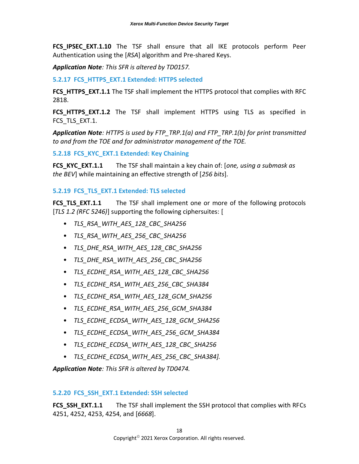**FCS IPSEC EXT.1.10** The TSF shall ensure that all IKE protocols perform Peer Authentication using the [*RSA*] algorithm and Pre-shared Keys.

*Application Note: This SFR is altered by TD0157.*

<span id="page-22-0"></span>**5.2.17 FCS\_HTTPS\_EXT.1 Extended: HTTPS selected**

**FCS HTTPS EXT.1.1** The TSF shall implement the HTTPS protocol that complies with RFC 2818.

**FCS HTTPS EXT.1.2** The TSF shall implement HTTPS using TLS as specified in FCS TLS EXT.1.

*Application Note: HTTPS is used by FTP\_TRP.1(a) and FTP\_TRP.1(b) for print transmitted to and from the TOE and for administrator management of the TOE.*

<span id="page-22-1"></span>**5.2.18 FCS\_KYC\_EXT.1 Extended: Key Chaining**

**FCS\_KYC\_EXT.1.1** The TSF shall maintain a key chain of: [*one, using a submask as the BEV*] while maintaining an effective strength of [*256 bits*].

#### <span id="page-22-2"></span>**5.2.19 FCS\_TLS\_EXT.1 Extended: TLS selected**

**FCS\_TLS\_EXT.1.1** The TSF shall implement one or more of the following protocols [*TLS 1.2 (RFC 5246)*] supporting the following ciphersuites: [

- *TLS\_RSA\_WITH\_AES\_128\_CBC\_SHA256*
- *TLS\_RSA\_WITH\_AES\_256\_CBC\_SHA256*
- *TLS\_DHE\_RSA\_WITH\_AES\_128\_CBC\_SHA256*
- *TLS\_DHE\_RSA\_WITH\_AES\_256\_CBC\_SHA256*
- *TLS\_ECDHE\_RSA\_WITH\_AES\_128\_CBC\_SHA256*
- *TLS\_ECDHE\_RSA\_WITH\_AES\_256\_CBC\_SHA384*
- *TLS\_ECDHE\_RSA\_WITH\_AES\_128\_GCM\_SHA256*
- *TLS\_ECDHE\_RSA\_WITH\_AES\_256\_GCM\_SHA384*
- *TLS\_ECDHE\_ECDSA\_WITH\_AES\_128\_GCM\_SHA256*
- *TLS\_ECDHE\_ECDSA\_WITH\_AES\_256\_GCM\_SHA384*
- *TLS\_ECDHE\_ECDSA\_WITH\_AES\_128\_CBC\_SHA256*
- *TLS\_ECDHE\_ECDSA\_WITH\_AES\_256\_CBC\_SHA384].*

*Application Note: This SFR is altered by TD0474.*

#### <span id="page-22-3"></span>**5.2.20 FCS\_SSH\_EXT.1 Extended: SSH selected**

**FCS SSH EXT.1.1** The TSF shall implement the SSH protocol that complies with RFCs 4251, 4252, 4253, 4254, and [*6668*].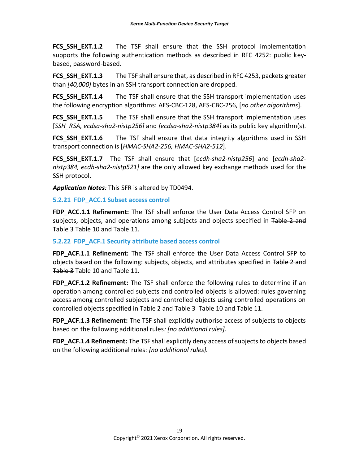**FCS\_SSH\_EXT.1.2** The TSF shall ensure that the SSH protocol implementation supports the following authentication methods as described in RFC 4252: public keybased, password-based.

**FCS\_SSH\_EXT.1.3** The TSF shall ensure that, as described in RFC 4253, packets greater than *[40,000]* bytes in an SSH transport connection are dropped.

**FCS\_SSH\_EXT.1.4** The TSF shall ensure that the SSH transport implementation uses the following encryption algorithms: AES-CBC-128, AES-CBC-256, [*no other algorithms*].

**FCS SSH EXT.1.5** The TSF shall ensure that the SSH transport implementation uses [*SSH\_RSA, ecdsa-sha2-nistp256]* and *[ecdsa-sha2-nistp384]* as its public key algorithm(s).

**FCS\_SSH\_EXT.1.6** The TSF shall ensure that data integrity algorithms used in SSH transport connection is [*HMAC-SHA2-256, HMAC-SHA2-512*].

**FCS\_SSH\_EXT.1.7** The TSF shall ensure that [*ecdh-sha2-nistp256*] and [*ecdh-sha2 nistp384, ecdh-sha2-nistp521]* are the only allowed key exchange methods used for the SSH protocol.

*Application Notes:* This SFR is altered by TD0494.

#### <span id="page-23-0"></span>**5.2.21 FDP\_ACC.1 Subset access control**

**FDP\_ACC.1.1 Refinement:** The TSF shall enforce the User Data Access Control SFP on subjects, objects, and operations among subjects and objects specified in Table 2 and Table 3 Table 10 and Table 11.

#### <span id="page-23-1"></span>**5.2.22 FDP\_ACF.1 Security attribute based access control**

**FDP\_ACF.1.1 Refinement:** The TSF shall enforce the User Data Access Control SFP to objects based on the following: subjects, objects, and attributes specified in Table 2 and Table 3 Table 10 and Table 11.

**FDP\_ACF.1.2 Refinement:** The TSF shall enforce the following rules to determine if an operation among controlled subjects and controlled objects is allowed: rules governing access among controlled subjects and controlled objects using controlled operations on controlled objects specified in Table 2 and Table 3 Table 10 and Table 11.

**FDP\_ACF.1.3 Refinement:** The TSF shall explicitly authorise access of subjects to objects based on the following additional rules*: [no additional rules].*

**FDP\_ACF.1.4 Refinement:** The TSF shall explicitly deny access of subjects to objects based on the following additional rules: *[no additional rules].*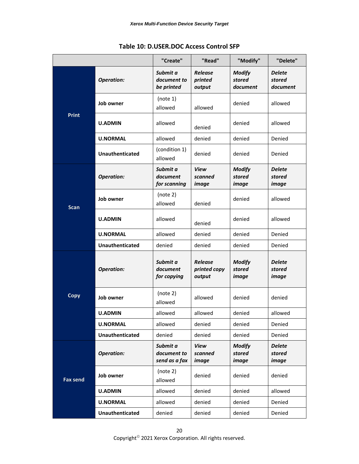<span id="page-24-0"></span>

|                                   |                        | "Create"                                 | "Read"                                   | "Modify"                                | "Delete"                                |
|-----------------------------------|------------------------|------------------------------------------|------------------------------------------|-----------------------------------------|-----------------------------------------|
|                                   | <b>Operation:</b>      | Submit a<br>document to<br>be printed    | <b>Release</b><br>printed<br>output      | <b>Modify</b><br>stored<br>document     | <b>Delete</b><br>stored<br>document     |
|                                   | Job owner              | (note 1)<br>allowed                      | allowed                                  | denied                                  | allowed                                 |
| <b>Print</b>                      | <b>U.ADMIN</b>         | allowed                                  | denied                                   | denied                                  | allowed                                 |
|                                   | <b>U.NORMAL</b>        | allowed                                  | denied                                   | denied                                  | Denied                                  |
|                                   | <b>Unauthenticated</b> | (condition 1)<br>allowed                 | denied                                   | denied                                  | Denied                                  |
|                                   | <b>Operation:</b>      | Submit a<br>document<br>for scanning     | <b>View</b><br>scanned<br>image          | <b>Modify</b><br>stored<br>image        | <b>Delete</b><br>stored<br>image        |
| <b>Scan</b>                       | Job owner              | (note 2)<br>allowed                      | denied                                   | denied                                  | allowed                                 |
| <b>U.ADMIN</b><br><b>U.NORMAL</b> | allowed                | denied                                   | denied                                   | allowed                                 |                                         |
|                                   |                        | allowed                                  | denied                                   | denied                                  | Denied                                  |
|                                   | <b>Unauthenticated</b> | denied                                   | denied                                   | denied                                  | Denied                                  |
| <b>Copy</b>                       | <b>Operation:</b>      | Submit a<br>document<br>for copying      | <b>Release</b><br>printed copy<br>output | <b>Modify</b><br>stored<br><i>image</i> | <b>Delete</b><br>stored<br>image        |
|                                   | Job owner              | (note 2)<br>allowed                      | allowed                                  | denied                                  | denied                                  |
|                                   | <b>U.ADMIN</b>         | allowed                                  | allowed                                  | denied                                  | allowed                                 |
|                                   | <b>U.NORMAL</b>        | allowed                                  | denied                                   | denied                                  | Denied                                  |
|                                   | Unauthenticated        | denied                                   | denied                                   | denied                                  | Denied                                  |
|                                   | <b>Operation:</b>      | Submit a<br>document to<br>send as a fax | View<br>scanned<br><i>image</i>          | <b>Modify</b><br>stored<br>image        | <b>Delete</b><br>stored<br><i>image</i> |
| <b>Fax send</b>                   | Job owner              | (note 2)<br>allowed                      | denied                                   | denied                                  | denied                                  |
|                                   | <b>U.ADMIN</b>         | allowed                                  | denied                                   | denied                                  | allowed                                 |
|                                   | <b>U.NORMAL</b>        | allowed                                  | denied                                   | denied                                  | Denied                                  |
|                                   | Unauthenticated        | denied                                   | denied                                   | denied                                  | Denied                                  |

#### **Table 10: D.USER.DOC Access Control SFP**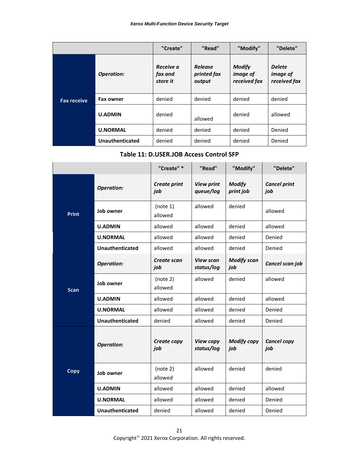|                    |                   | "Create"                         | "Read"                                  | "Modify"                                         | "Delete"                                         |
|--------------------|-------------------|----------------------------------|-----------------------------------------|--------------------------------------------------|--------------------------------------------------|
|                    | <b>Operation:</b> | Receive a<br>fax and<br>store it | <b>Release</b><br>printed fax<br>output | <b>Modify</b><br><i>image of</i><br>received fax | <b>Delete</b><br><i>image of</i><br>received fax |
| <b>Fax receive</b> | <b>Fax owner</b>  | denied                           | denied                                  | denied                                           | denied                                           |
|                    | <b>U.ADMIN</b>    | denied                           | allowed                                 | denied                                           | allowed                                          |
|                    | <b>U.NORMAL</b>   | denied                           | denied                                  | denied                                           | Denied                                           |
|                    | Unauthenticated   | denied                           | denied                                  | denied                                           | Denied                                           |

#### **Table 11: D.USER.JOB Access Control SFP**

<span id="page-25-0"></span>

|                                               |                        | "Create" *                 | "Read"                         | "Modify"                   | "Delete"                   |
|-----------------------------------------------|------------------------|----------------------------|--------------------------------|----------------------------|----------------------------|
|                                               | <b>Operation:</b>      | <b>Create print</b><br>job | <b>View print</b><br>queue/log | <b>Modify</b><br>print job | <b>Cancel print</b><br>job |
| <b>Print</b>                                  | Job owner              | (note 1)<br>allowed        | allowed                        | denied                     | allowed                    |
|                                               | <b>U.ADMIN</b>         | allowed                    | allowed                        | denied                     | allowed                    |
|                                               | <b>U.NORMAL</b>        | allowed                    | allowed                        | denied                     | Denied                     |
|                                               | <b>Unauthenticated</b> | allowed                    | allowed                        | denied                     | Denied                     |
| <b>Operation:</b><br>Job owner<br><b>Scan</b> |                        | Create scan<br>job         | <b>View scan</b><br>status/log | <b>Modify scan</b><br>job  | Cancel scan job            |
|                                               |                        | (note 2)<br>allowed        | allowed                        | denied                     | allowed                    |
|                                               | <b>U.ADMIN</b>         | allowed                    | allowed                        | denied                     | allowed                    |
|                                               | <b>U.NORMAL</b>        | allowed                    | allowed                        | denied                     | Denied                     |
|                                               | Unauthenticated        | denied                     | allowed                        | denied                     | Denied                     |
| <b>Operation:</b>                             |                        | Create copy<br>job         | View copy<br>status/log        | <b>Modify copy</b><br>job  | <b>Cancel copy</b><br>job  |
| Copy                                          | Job owner              | (note 2)<br>allowed        | allowed                        | denied                     | denied                     |
|                                               | <b>U.ADMIN</b>         | allowed                    | allowed                        | denied                     | allowed                    |
|                                               | <b>U.NORMAL</b>        | allowed                    | allowed                        | denied                     | Denied                     |
|                                               | <b>Unauthenticated</b> | denied                     | allowed                        | denied                     | Denied                     |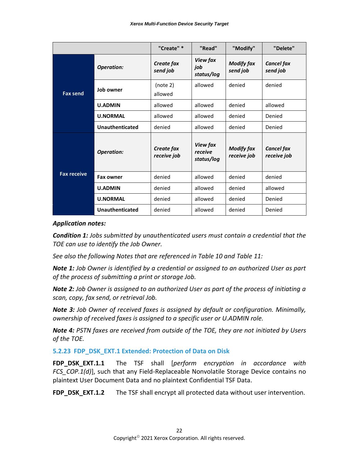|                                           |                        | "Create" *                | "Read"                            | "Modify"                         | "Delete"                         |
|-------------------------------------------|------------------------|---------------------------|-----------------------------------|----------------------------------|----------------------------------|
|                                           | <b>Operation:</b>      | Create fax<br>send job    | View fax<br>job<br>status/log     | <b>Modify fax</b><br>send job    | <b>Cancel fax</b><br>send job    |
| <b>Fax send</b>                           | Job owner              | (note 2)<br>allowed       | allowed                           | denied                           | denied                           |
|                                           | <b>U.ADMIN</b>         | allowed                   | allowed                           | denied                           | allowed                          |
| <b>U.NORMAL</b><br><b>Unauthenticated</b> |                        | allowed                   | allowed                           | denied                           | Denied                           |
|                                           |                        | denied                    | allowed                           | denied                           | Denied                           |
|                                           | <b>Operation:</b>      | Create fax<br>receive job | View fax<br>receive<br>status/log | <b>Modify fax</b><br>receive job | <b>Cancel fax</b><br>receive job |
| <b>Fax receive</b>                        | <b>Fax owner</b>       | denied                    | allowed                           | denied                           | denied                           |
|                                           | <b>U.ADMIN</b>         | denied                    | allowed                           | denied                           | allowed                          |
|                                           | <b>U.NORMAL</b>        | denied                    | allowed                           | denied                           | Denied                           |
|                                           | <b>Unauthenticated</b> | denied                    | allowed                           | denied                           | Denied                           |

#### *Application notes:*

*Condition 1: Jobs submitted by unauthenticated users must contain a credential that the TOE can use to identify the Job Owner.*

*See also the following Notes that are referenced in Table 10 and Table 11:*

*Note 1: Job Owner is identified by a credential or assigned to an authorized User as part of the process of submitting a print or storage Job.*

*Note 2: Job Owner is assigned to an authorized User as part of the process of initiating a scan, copy, fax send, or retrieval Job.*

*Note 3: Job Owner of received faxes is assigned by default or configuration. Minimally, ownership of received faxes is assigned to a specific user or U.ADMIN role.*

*Note 4: PSTN faxes are received from outside of the TOE, they are not initiated by Users of the TOE.*

<span id="page-26-0"></span>**5.2.23 FDP\_DSK\_EXT.1 Extended: Protection of Data on Disk**

**FDP\_DSK\_EXT.1.1** The TSF shall [*perform encryption in accordance with FCS\_COP.1(d)*], such that any Field-Replaceable Nonvolatile Storage Device contains no plaintext User Document Data and no plaintext Confidential TSF Data.

**FDP\_DSK\_EXT.1.2** The TSF shall encrypt all protected data without user intervention.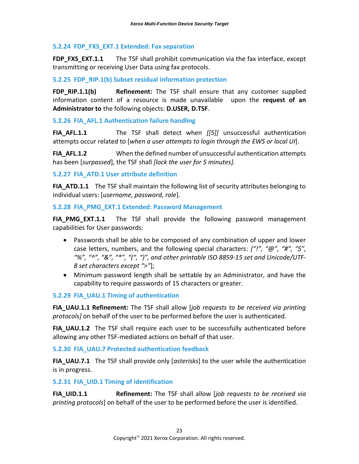#### <span id="page-27-0"></span>**5.2.24 FDP\_FXS\_EXT.1 Extended: Fax separation**

**FDP\_FXS\_EXT.1.1** The TSF shall prohibit communication via the fax interface, except transmitting or receiving User Data using fax protocols.

#### <span id="page-27-1"></span>**5.2.25 FDP\_RIP.1(b) Subset residual information protection**

**FDP\_RIP.1.1(b) Refinement:** The TSF shall ensure that any customer supplied information content of a resource is made unavailable upon the **request of an Administrator to** the following objects: **D.USER, D.TSF**.

#### <span id="page-27-2"></span>**5.2.26 FIA\_AFL.1 Authentication failure handling**

**FIA AFL.1.1** The TSF shall detect when [[5]] unsuccessful authentication attempts occur related to [*when a user attempts to login through the EWS or local UI*].

**FIA\_AFL.1.2** When the defined number of unsuccessful authentication attempts has been [*surpassed*], the TSF shall *[lock the user for 5 minutes].*

#### <span id="page-27-3"></span>**5.2.27 FIA\_ATD.1 User attribute definition**

**FIA\_ATD.1.1** The TSF shall maintain the following list of security attributes belonging to individual users: [*username, password, role*].

#### <span id="page-27-4"></span>**5.2.28 FIA\_PMG\_EXT.1 Extended: Password Management**

**FIA\_PMG\_EXT.1.1** The TSF shall provide the following password management capabilities for User passwords:

- Passwords shall be able to be composed of any combination of upper and lower case letters, numbers, and the following special characters: *["!", "@", "#", "\$", "%", "^", "&", "\*", "(", ")", and other printable ISO 8859-15 set and Unicode/UTF-8 set characters except ">"*];
- Minimum password length shall be settable by an Administrator, and have the capability to require passwords of 15 characters or greater.

#### <span id="page-27-5"></span>**5.2.29 FIA\_UAU.1 Timing of authentication**

**FIA\_UAU.1.1 Refinement:** The TSF shall allow [*job requests to be received via printing protocols]* on behalf of the user to be performed before the user is authenticated.

**FIA UAU.1.2** The TSF shall require each user to be successfully authenticated before allowing any other TSF-mediated actions on behalf of that user.

<span id="page-27-6"></span>**5.2.30 FIA\_UAU.7 Protected authentication feedback**

**FIA\_UAU.7.1** The TSF shall provide only *[asterisks]* to the user while the authentication is in progress.

#### <span id="page-27-7"></span>**5.2.31 FIA\_UID.1 Timing of identification**

**FIA\_UID.1.1 Refinement:** The TSF shall allow [*job requests to be received via printing protocols*] on behalf of the user to be performed before the user is identified.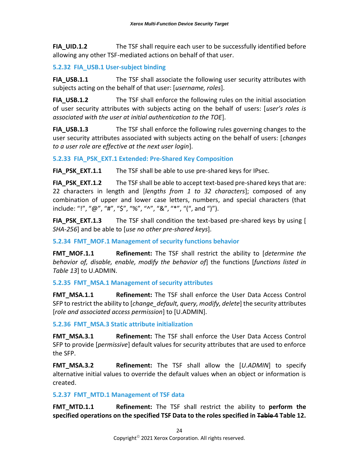**FIA UID.1.2** The TSF shall require each user to be successfully identified before allowing any other TSF-mediated actions on behalf of that user.

#### <span id="page-28-0"></span>**5.2.32 FIA\_USB.1 User-subject binding**

**FIA\_USB.1.1** The TSF shall associate the following user security attributes with subjects acting on the behalf of that user: [*username, roles*].

**FIA USB.1.2** The TSF shall enforce the following rules on the initial association of user security attributes with subjects acting on the behalf of users: [*user's roles is associated with the user at initial authentication to the TOE*].

**FIA USB.1.3** The TSF shall enforce the following rules governing changes to the user security attributes associated with subjects acting on the behalf of users: [*changes to a user role are effective at the next user login*].

<span id="page-28-1"></span>**5.2.33 FIA\_PSK\_EXT.1 Extended: Pre-Shared Key Composition**

**FIA\_PSK\_EXT.1.1** The TSF shall be able to use pre-shared keys for IPsec.

**FIA\_PSK\_EXT.1.2** The TSF shall be able to accept text-based pre-shared keys that are: 22 characters in length and [*lengths from 1 to 32 characters*]; composed of any combination of upper and lower case letters, numbers, and special characters (that include: "!", "@", "#", "\$", "%", "^", "&", "\*", "(", and ")").

**FIA PSK EXT.1.3** The TSF shall condition the text-based pre-shared keys by using [ *SHA-256*] and be able to [*use no other pre-shared keys*].

#### <span id="page-28-2"></span>**5.2.34 FMT\_MOF.1 Management of security functions behavior**

**FMT MOF.1.1 Refinement:** The TSF shall restrict the ability to *[determine the behavior of, disable, enable, modify the behavior of*] the functions [*functions listed in Table 13*] to U.ADMIN.

#### <span id="page-28-3"></span>**5.2.35 FMT\_MSA.1 Management of security attributes**

**FMT MSA.1.1 Refinement:** The TSF shall enforce the User Data Access Control SFP to restrict the ability to [*change\_default, query, modify, delete*] the security attributes [*role and associated access permission*] to [U.ADMIN].

#### <span id="page-28-4"></span>**5.2.36 FMT\_MSA.3 Static attribute initialization**

**FMT\_MSA.3.1 Refinement:** The TSF shall enforce the User Data Access Control SFP to provide [*permissive*] default values for security attributes that are used to enforce the SFP.

**FMT\_MSA.3.2 Refinement:** The TSF shall allow the [*U.ADMIN*] to specify alternative initial values to override the default values when an object or information is created.

#### <span id="page-28-5"></span>**5.2.37 FMT\_MTD.1 Management of TSF data**

**FMT MTD.1.1 Refinement:** The TSF shall restrict the ability to **perform the specified operations on the specified TSF Data to the roles specified in Table 4 Table 12.**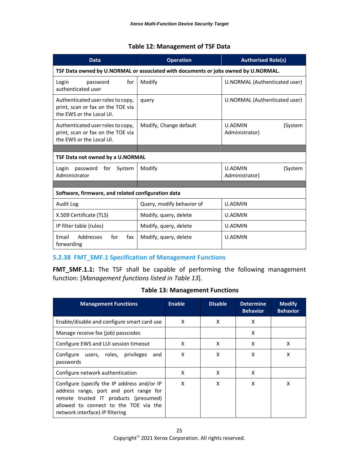#### **Table 12: Management of TSF Data**

<span id="page-29-1"></span>

| <b>Data</b>                                                                                        | <b>Operation</b>          | <b>Authorised Role(s)</b>                   |  |  |
|----------------------------------------------------------------------------------------------------|---------------------------|---------------------------------------------|--|--|
| TSF Data owned by U.NORMAL or associated with documents or jobs owned by U.NORMAL.                 |                           |                                             |  |  |
| for<br>Login<br>password<br>authenticated user                                                     | Modify                    | U.NORMAL (Authenticated user)               |  |  |
| Authenticated user roles to copy,<br>print, scan or fax on the TOE via<br>the EWS or the Local UI. | query                     | U.NORMAL (Authenticated user)               |  |  |
| Authenticated user roles to copy,<br>print, scan or fax on the TOE via<br>the EWS or the Local UI. | Modify, Change default    | <b>U.ADMIN</b><br>(System<br>Administrator) |  |  |
|                                                                                                    |                           |                                             |  |  |
| TSF Data not owned by a U.NORMAL                                                                   |                           |                                             |  |  |
| Login<br>password for<br>System<br>Administrator                                                   | Modify                    | <b>U.ADMIN</b><br>(System<br>Administrator) |  |  |
|                                                                                                    |                           |                                             |  |  |
|                                                                                                    |                           |                                             |  |  |
| Software, firmware, and related configuration data                                                 |                           |                                             |  |  |
| Audit Log                                                                                          | Query, modify behavior of | <b>U.ADMIN</b>                              |  |  |
| X.509 Certificate (TLS)                                                                            | Modify, query, delete     | U.ADMIN                                     |  |  |
| IP filter table (rules)                                                                            | Modify, query, delete     | U.ADMIN                                     |  |  |

#### <span id="page-29-0"></span>**5.2.38 FMT\_SMF.1 Specification of Management Functions**

**FMT\_SMF.1.1:** The TSF shall be capable of performing the following management function: [*Management functions listed in Table 13*].

#### **Table 13: Management Functions**

<span id="page-29-2"></span>

| <b>Management Functions</b>                                                                                                                                                                                | <b>Enable</b> | <b>Disable</b> | <b>Determine</b><br><b>Behavior</b> | <b>Modify</b><br><b>Behavior</b> |
|------------------------------------------------------------------------------------------------------------------------------------------------------------------------------------------------------------|---------------|----------------|-------------------------------------|----------------------------------|
| Enable/disable and configure smart card use                                                                                                                                                                | X             | X              | x                                   |                                  |
| Manage receive fax (job) passcodes                                                                                                                                                                         |               |                | x                                   |                                  |
| Configure EWS and LUI session timeout                                                                                                                                                                      | x             | X              | x                                   | x                                |
| Configure users, roles, privileges<br>and<br>passwords                                                                                                                                                     | x             | X              | x                                   | x                                |
| Configure network authentication                                                                                                                                                                           | x             | X              | x                                   |                                  |
| Configure (specify the IP address and/or IP<br>address range, port and port range for<br>remote trusted IT products (presumed)<br>allowed to connect to the TOE via the<br>network interface) IP filtering | X             | X              | x                                   | x                                |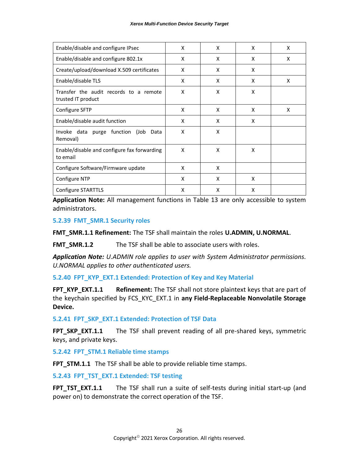| Enable/disable and configure IPsec                           | X | X | X | X |
|--------------------------------------------------------------|---|---|---|---|
| Enable/disable and configure 802.1x                          | X | X | X | X |
| Create/upload/download X.509 certificates                    | X | X | X |   |
| Enable/disable TLS                                           | X | X | X | X |
| Transfer the audit records to a remote<br>trusted IT product | X | X | X |   |
| Configure SFTP                                               | X | X | X | X |
| Enable/disable audit function                                | X | X | X |   |
| Invoke data purge function (Job Data<br>Removal)             | X | X |   |   |
| Enable/disable and configure fax forwarding<br>to email      | X | X | X |   |
| Configure Software/Firmware update                           | X | X |   |   |
| Configure NTP                                                | X | X | X |   |
| Configure STARTTLS                                           | X | X | X |   |

**Application Note:** All management functions in Table 13 are only accessible to system administrators.

<span id="page-30-0"></span>**5.2.39 FMT\_SMR.1 Security roles**

**FMT\_SMR.1.1 Refinement:** The TSF shall maintain the roles **U.ADMIN, U.NORMAL**.

FMT SMR.1.2 The TSF shall be able to associate users with roles.

*Application Note: U.ADMIN role applies to user with System Administrator permissions. U.NORMAL applies to other authenticated users.*

<span id="page-30-1"></span>**5.2.40 FPT\_KYP\_EXT.1 Extended: Protection of Key and Key Material**

**FPT\_KYP\_EXT.1.1 Refinement:** The TSF shall not store plaintext keys that are part of the keychain specified by FCS\_KYC\_EXT.1 in **any Field-Replaceable Nonvolatile Storage Device.**

<span id="page-30-2"></span>**5.2.41 FPT\_SKP\_EXT.1 Extended: Protection of TSF Data**

**FPT\_SKP\_EXT.1.1** The TSF shall prevent reading of all pre-shared keys, symmetric keys, and private keys.

<span id="page-30-3"></span>**5.2.42 FPT\_STM.1 Reliable time stamps**

FPT STM.1.1 The TSF shall be able to provide reliable time stamps.

<span id="page-30-4"></span>**5.2.43 FPT\_TST\_EXT.1 Extended: TSF testing**

**FPT\_TST\_EXT.1.1** The TSF shall run a suite of self-tests during initial start-up (and power on) to demonstrate the correct operation of the TSF.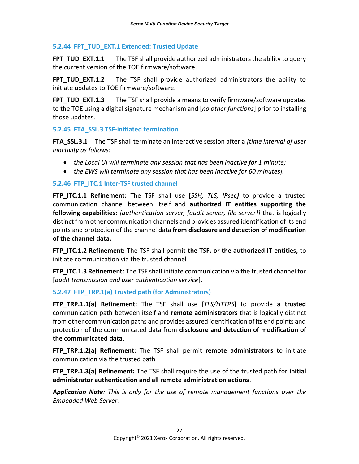#### <span id="page-31-0"></span>**5.2.44 FPT\_TUD\_EXT.1 Extended: Trusted Update**

**FPT TUD EXT.1.1** The TSF shall provide authorized administrators the ability to query the current version of the TOE firmware/software.

**FPT\_TUD\_EXT.1.2** The TSF shall provide authorized administrators the ability to initiate updates to TOE firmware/software.

**FPT TUD EXT.1.3** The TSF shall provide a means to verify firmware/software updates to the TOE using a digital signature mechanism and [*no other functions*] prior to installing those updates.

#### <span id="page-31-1"></span>**5.2.45 FTA\_SSL.3 TSF-initiated termination**

**FTA\_SSL.3.1** The TSF shall terminate an interactive session after a *[time interval of user inactivity as follows:*

- *the Local UI will terminate any session that has been inactive for 1 minute;*
- *the EWS will terminate any session that has been inactive for 60 minutes].*

#### <span id="page-31-2"></span>**5.2.46 FTP\_ITC.1 Inter-TSF trusted channel**

**FTP\_ITC.1.1 Refinement:** The TSF shall use **[***SSH, TLS, IPsec]* to provide a trusted communication channel between itself and **authorized IT entities supporting the following capabilities:** *[authentication server, [audit server, file server]]* that is logically distinct from other communication channels and provides assured identification of its end points and protection of the channel data **from disclosure and detection of modification of the channel data.**

**FTP\_ITC.1.2 Refinement:** The TSF shall permit **the TSF, or the authorized IT entities,** to initiate communication via the trusted channel

**FTP ITC.1.3 Refinement:** The TSF shall initiate communication via the trusted channel for [*audit transmission and user authentication service*].

#### <span id="page-31-3"></span>**5.2.47 FTP\_TRP.1(a) Trusted path (for Administrators)**

**FTP\_TRP.1.1(a) Refinement:** The TSF shall use [*TLS/HTTPS*] to provide **a trusted** communication path between itself and **remote administrators** that is logically distinct from other communication paths and provides assured identification of its end points and protection of the communicated data from **disclosure and detection of modification of the communicated data**.

**FTP\_TRP.1.2(a) Refinement:** The TSF shall permit **remote administrators** to initiate communication via the trusted path

**FTP\_TRP.1.3(a) Refinement:** The TSF shall require the use of the trusted path for **initial administrator authentication and all remote administration actions**.

*Application Note: This is only for the use of remote management functions over the Embedded Web Server.*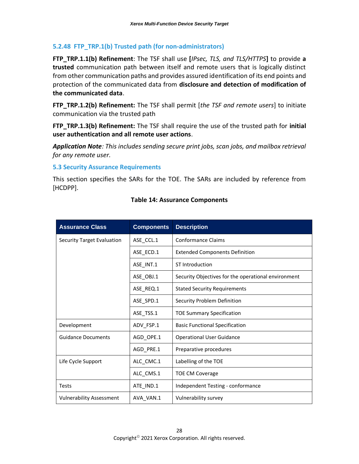#### <span id="page-32-0"></span>**5.2.48 FTP\_TRP.1(b) Trusted path (for non-administrators)**

**FTP\_TRP.1.1(b) Refinement**: The TSF shall use **[***IPsec, TLS, and TLS/HTTPS***]** to provide **a trusted** communication path between itself and remote users that is logically distinct from other communication paths and provides assured identification of its end points and protection of the communicated data from **disclosure and detection of modification of the communicated data**.

**FTP\_TRP.1.2(b) Refinement:** The TSF shall permit [*the TSF and remote users*] to initiate communication via the trusted path

**FTP\_TRP.1.3(b) Refinement:** The TSF shall require the use of the trusted path for **initial user authentication and all remote user actions**.

*Application Note: This includes sending secure print jobs, scan jobs, and mailbox retrieval for any remote user.*

#### <span id="page-32-1"></span>**5.3 Security Assurance Requirements**

<span id="page-32-2"></span>This section specifies the SARs for the TOE. The SARs are included by reference from [HCDPP].

| <b>Assurance Class</b>            | <b>Components</b> | <b>Description</b>                                  |
|-----------------------------------|-------------------|-----------------------------------------------------|
| <b>Security Target Evaluation</b> | ASE_CCL.1         | <b>Conformance Claims</b>                           |
|                                   | ASE ECD.1         | <b>Extended Components Definition</b>               |
|                                   | ASE_INT.1         | ST Introduction                                     |
|                                   | ASE OBJ.1         | Security Objectives for the operational environment |
|                                   | ASE_REQ.1         | <b>Stated Security Requirements</b>                 |
|                                   | ASE_SPD.1         | Security Problem Definition                         |
|                                   | ASE_TSS.1         | <b>TOE Summary Specification</b>                    |
| Development                       | ADV_FSP.1         | <b>Basic Functional Specification</b>               |
| <b>Guidance Documents</b>         | AGD_OPE.1         | <b>Operational User Guidance</b>                    |
|                                   | AGD_PRE.1         | Preparative procedures                              |
| Life Cycle Support                | ALC_CMC.1         | Labelling of the TOE                                |
|                                   | ALC_CMS.1         | <b>TOE CM Coverage</b>                              |
| <b>Tests</b>                      | ATE IND.1         | Independent Testing - conformance                   |
| <b>Vulnerability Assessment</b>   | AVA_VAN.1         | Vulnerability survey                                |

#### **Table 14: Assurance Components**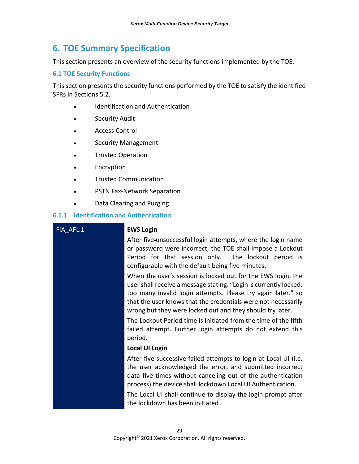## <span id="page-33-0"></span>**6. TOE Summary Specification**

This section presents an overview of the security functions implemented by the TOE.

#### <span id="page-33-1"></span>**6.1 TOE Security Functions**

This section presents the security functions performed by the TOE to satisfy the identified SFRs in Sections 5.2.

- Identification and Authentication
- Security Audit
- Access Control
- Security Management
- Trusted Operation
- **Encryption**
- Trusted Communication
- PSTN Fax-Network Separation
- Data Clearing and Purging

#### <span id="page-33-2"></span>**6.1.1 Identification and Authentication**

### FIA\_AFL.1 **EWS Login** After five-unsuccessful login attempts, where the login name or password were incorrect, the TOE shall impose a Lockout Period for that session only. The lockout period is configurable with the default being five minutes. When the user's session is locked out for the EWS login, the user shall receive a message stating: "Login is currently locked: too many invalid login attempts. Please try again later." so that the user knows that the credentials were not necessarily wrong but they were locked out and they should try later. The Lockout Period time is initiated from the time of the fifth failed attempt. Further login attempts do not extend this period. **Local UI Login** After five successive failed attempts to login at Local UI (i.e. the user acknowledged the error, and submitted incorrect data five times without canceling out of the authentication process) the device shall lockdown Local UI Authentication. The Local UI shall continue to display the login prompt after the lockdown has been initiated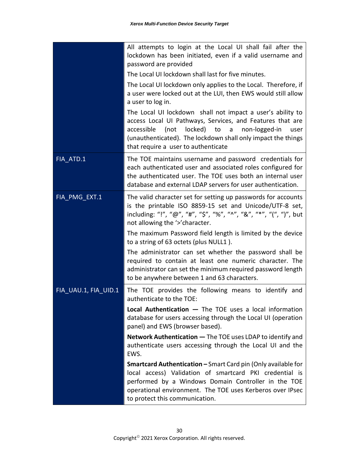|                      | All attempts to login at the Local UI shall fail after the<br>lockdown has been initiated, even if a valid username and<br>password are provided                                                                                                                                           |
|----------------------|--------------------------------------------------------------------------------------------------------------------------------------------------------------------------------------------------------------------------------------------------------------------------------------------|
|                      | The Local UI lockdown shall last for five minutes.                                                                                                                                                                                                                                         |
|                      | The Local UI lockdown only applies to the Local. Therefore, if<br>a user were locked out at the LUI, then EWS would still allow<br>a user to log in.                                                                                                                                       |
|                      | The Local UI lockdown shall not impact a user's ability to<br>access Local UI Pathways, Services, and Features that are<br>locked) to a non-logged-in<br>accessible<br>(not<br>user<br>(unauthenticated). The lockdown shall only impact the things<br>that require a user to authenticate |
| FIA ATD.1            | The TOE maintains username and password credentials for<br>each authenticated user and associated roles configured for<br>the authenticated user. The TOE uses both an internal user<br>database and external LDAP servers for user authentication.                                        |
| FIA_PMG_EXT.1        | The valid character set for setting up passwords for accounts<br>is the printable ISO 8859-15 set and Unicode/UTF-8 set,<br>including: "!", "@", "#", "\$", "%", "^", "&", "*", "(", ")", but<br>not allowing the '>'character.                                                            |
|                      | The maximum Password field length is limited by the device<br>to a string of 63 octets (plus NULL1).                                                                                                                                                                                       |
|                      | The administrator can set whether the password shall be<br>required to contain at least one numeric character. The<br>administrator can set the minimum required password length<br>to be anywhere between 1 and 63 characters.                                                            |
| FIA_UAU.1, FIA_UID.1 | The TOE provides the following means to identify and<br>authenticate to the TOE:                                                                                                                                                                                                           |
|                      | <b>Local Authentication <math>-</math></b> The TOE uses a local information<br>database for users accessing through the Local UI (operation<br>panel) and EWS (browser based).                                                                                                             |
|                      | Network Authentication - The TOE uses LDAP to identify and<br>authenticate users accessing through the Local UI and the<br>EWS.                                                                                                                                                            |
|                      | Smartcard Authentication - Smart Card pin (Only available for<br>local access) Validation of smartcard PKI credential is<br>performed by a Windows Domain Controller in the TOE<br>operational environment. The TOE uses Kerberos over IPsec<br>to protect this communication.             |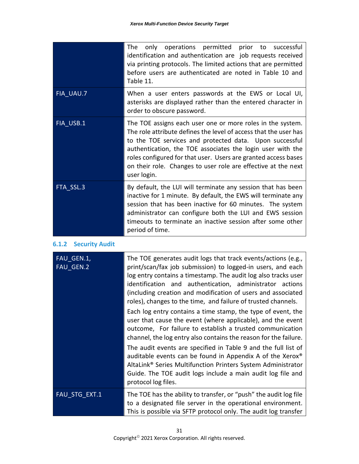|           | only operations permitted prior to successful<br>The<br>identification and authentication are job requests received<br>via printing protocols. The limited actions that are permitted<br>before users are authenticated are noted in Table 10 and<br>Table 11.                                                                                                                                            |
|-----------|-----------------------------------------------------------------------------------------------------------------------------------------------------------------------------------------------------------------------------------------------------------------------------------------------------------------------------------------------------------------------------------------------------------|
| FIA UAU.7 | When a user enters passwords at the EWS or Local UI,<br>asterisks are displayed rather than the entered character in<br>order to obscure password.                                                                                                                                                                                                                                                        |
| FIA USB.1 | The TOE assigns each user one or more roles in the system.<br>The role attribute defines the level of access that the user has<br>to the TOE services and protected data. Upon successful<br>authentication, the TOE associates the login user with the<br>roles configured for that user. Users are granted access bases<br>on their role. Changes to user role are effective at the next<br>user login. |
| FTA SSL.3 | By default, the LUI will terminate any session that has been<br>inactive for 1 minute. By default, the EWS will terminate any<br>session that has been inactive for 60 minutes. The system<br>administrator can configure both the LUI and EWS session<br>timeouts to terminate an inactive session after some other<br>period of time.                                                                   |

#### <span id="page-35-0"></span>**6.1.2 Security Audit**

| FAU GEN.1,<br>FAU GEN.2 | The TOE generates audit logs that track events/actions (e.g.,<br>print/scan/fax job submission) to logged-in users, and each<br>log entry contains a timestamp. The audit log also tracks user<br>identification and authentication, administrator actions<br>(including creation and modification of users and associated<br>roles), changes to the time, and failure of trusted channels. |  |
|-------------------------|---------------------------------------------------------------------------------------------------------------------------------------------------------------------------------------------------------------------------------------------------------------------------------------------------------------------------------------------------------------------------------------------|--|
|                         | Each log entry contains a time stamp, the type of event, the<br>user that cause the event (where applicable), and the event<br>outcome, For failure to establish a trusted communication<br>channel, the log entry also contains the reason for the failure.                                                                                                                                |  |
|                         | The audit events are specified in Table 9 and the full list of<br>auditable events can be found in Appendix A of the Xerox <sup>®</sup><br>AltaLink <sup>®</sup> Series Multifunction Printers System Administrator<br>Guide. The TOE audit logs include a main audit log file and<br>protocol log files.                                                                                   |  |
| <b>FAU STG EXT.1</b>    | The TOE has the ability to transfer, or "push" the audit log file<br>to a designated file server in the operational environment.<br>This is possible via SFTP protocol only. The audit log transfer                                                                                                                                                                                         |  |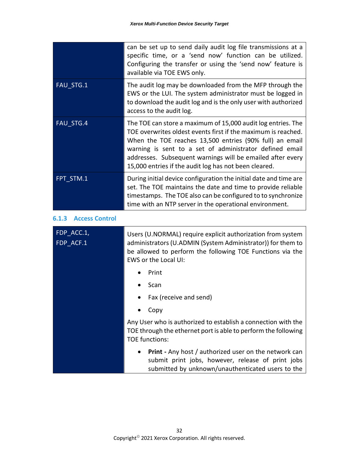<span id="page-36-0"></span>

|                                | can be set up to send daily audit log file transmissions at a<br>specific time, or a 'send now' function can be utilized.<br>Configuring the transfer or using the 'send now' feature is<br>available via TOE EWS only.                                                                                                                                                    |  |  |  |
|--------------------------------|----------------------------------------------------------------------------------------------------------------------------------------------------------------------------------------------------------------------------------------------------------------------------------------------------------------------------------------------------------------------------|--|--|--|
| FAU_STG.1                      | The audit log may be downloaded from the MFP through the<br>EWS or the LUI. The system administrator must be logged in<br>to download the audit log and is the only user with authorized<br>access to the audit log.                                                                                                                                                       |  |  |  |
| FAU_STG.4                      | The TOE can store a maximum of 15,000 audit log entries. The<br>TOE overwrites oldest events first if the maximum is reached.<br>When the TOE reaches 13,500 entries (90% full) an email<br>warning is sent to a set of administrator defined email<br>addresses. Subsequent warnings will be emailed after every<br>15,000 entries if the audit log has not been cleared. |  |  |  |
| FPT STM.1                      | During initial device configuration the initial date and time are<br>set. The TOE maintains the date and time to provide reliable<br>timestamps. The TOE also can be configured to to synchronize<br>time with an NTP server in the operational environment.                                                                                                               |  |  |  |
| 6.1.3<br><b>Access Control</b> |                                                                                                                                                                                                                                                                                                                                                                            |  |  |  |
| FDP_ACC.1,<br>FDP_ACF.1        | Users (U.NORMAL) require explicit authorization from system<br>administrators (U.ADMIN (System Administrator)) for them to<br>be allowed to perform the following TOE Functions via the<br>EWS or the Local UI:                                                                                                                                                            |  |  |  |
|                                | Print                                                                                                                                                                                                                                                                                                                                                                      |  |  |  |
|                                | Scan                                                                                                                                                                                                                                                                                                                                                                       |  |  |  |
|                                | Fax (receive and send)                                                                                                                                                                                                                                                                                                                                                     |  |  |  |
|                                | Copy                                                                                                                                                                                                                                                                                                                                                                       |  |  |  |
|                                | Any User who is authorized to establish a connection with the<br>TOE through the ethernet port is able to perform the following<br><b>TOE functions:</b>                                                                                                                                                                                                                   |  |  |  |
|                                | <b>Print</b> - Any host / authorized user on the network can<br>submit print jobs, however, release of print jobs<br>submitted by unknown/unauthenticated users to the                                                                                                                                                                                                     |  |  |  |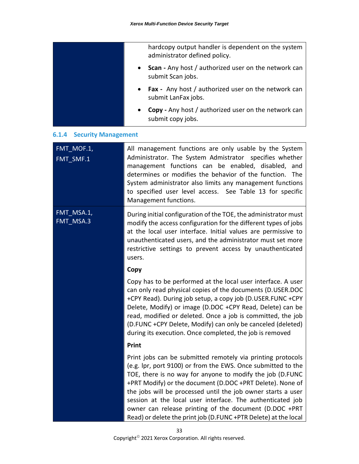|                                     | hardcopy output handler is dependent on the system<br>administrator defined policy.                                                                                                                                                                                                                                                                           |
|-------------------------------------|---------------------------------------------------------------------------------------------------------------------------------------------------------------------------------------------------------------------------------------------------------------------------------------------------------------------------------------------------------------|
|                                     | <b>Scan</b> - Any host / authorized user on the network can<br>$\bullet$<br>submit Scan jobs.                                                                                                                                                                                                                                                                 |
|                                     | <b>Fax</b> - Any host / authorized user on the network can<br>$\bullet$<br>submit LanFax jobs.                                                                                                                                                                                                                                                                |
|                                     | <b>Copy</b> - Any host / authorized user on the network can<br>submit copy jobs.                                                                                                                                                                                                                                                                              |
| <b>Security Management</b><br>6.1.4 |                                                                                                                                                                                                                                                                                                                                                               |
| FMT MOF.1,<br>FMT SMF.1             | All management functions are only usable by the System<br>Administrator. The System Admistrator specifies whether<br>management functions can be enabled, disabled, and<br>determines or modifies the behavior of the function. The<br>System administrator also limits any management functions<br>to specified user level access. See Table 13 for specific |

Management functions.

<span id="page-37-0"></span>FMT\_MSA.1, FMT\_MSA.3

During initial configuration of the TOE, the administrator must modify the access configuration for the different types of jobs at the local user interface. Initial values are permissive to unauthenticated users, and the administrator must set more restrictive settings to prevent access by unauthenticated users.

#### **Copy**

Copy has to be performed at the local user interface. A user can only read physical copies of the documents (D.USER.DOC +CPY Read). During job setup, a copy job (D.USER.FUNC +CPY Delete, Modify) or image (D.DOC +CPY Read, Delete) can be read, modified or deleted. Once a job is committed, the job (D.FUNC +CPY Delete, Modify) can only be canceled (deleted) during its execution. Once completed, the job is removed

#### **Print**

Print jobs can be submitted remotely via printing protocols (e.g. lpr, port 9100) or from the EWS. Once submitted to the TOE, there is no way for anyone to modify the job (D.FUNC +PRT Modify) or the document (D.DOC +PRT Delete). None of the jobs will be processed until the job owner starts a user session at the local user interface. The authenticated job owner can release printing of the document (D.DOC +PRT Read) or delete the print job (D.FUNC +PTR Delete) at the local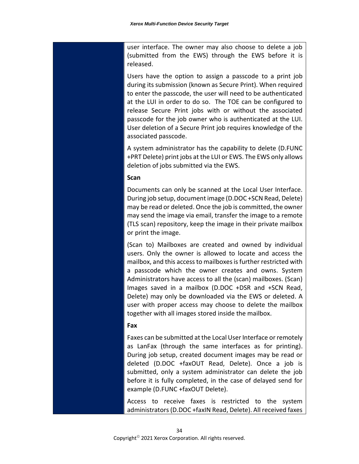user interface. The owner may also choose to delete a job (submitted from the EWS) through the EWS before it is released.

Users have the option to assign a passcode to a print job during its submission (known as Secure Print). When required to enter the passcode, the user will need to be authenticated at the LUI in order to do so. The TOE can be configured to release Secure Print jobs with or without the associated passcode for the job owner who is authenticated at the LUI. User deletion of a Secure Print job requires knowledge of the associated passcode.

A system administrator has the capability to delete (D.FUNC +PRT Delete) print jobs at the LUI or EWS. The EWS only allows deletion of jobs submitted via the EWS.

#### **Scan**

Documents can only be scanned at the Local User Interface. During job setup, document image (D.DOC +SCN Read, Delete) may be read or deleted. Once the job is committed, the owner may send the image via email, transfer the image to a remote (TLS scan) repository, keep the image in their private mailbox or print the image.

(Scan to) Mailboxes are created and owned by individual users. Only the owner is allowed to locate and access the mailbox, and this access to mailboxes is further restricted with a passcode which the owner creates and owns. System Administrators have access to all the (scan) mailboxes. (Scan) Images saved in a mailbox (D.DOC +DSR and +SCN Read, Delete) may only be downloaded via the EWS or deleted. A user with proper access may choose to delete the mailbox together with all images stored inside the mailbox.

#### **Fax**

Faxes can be submitted at the Local User Interface or remotely as LanFax (through the same interfaces as for printing). During job setup, created document images may be read or deleted (D.DOC +faxOUT Read, Delete). Once a job is submitted, only a system administrator can delete the job before it is fully completed, in the case of delayed send for example (D.FUNC +faxOUT Delete).

Access to receive faxes is restricted to the system administrators (D.DOC +faxIN Read, Delete). All received faxes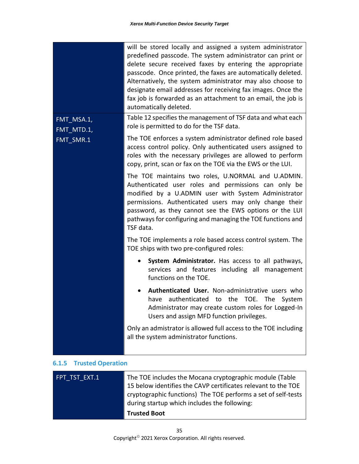|                          | will be stored locally and assigned a system administrator<br>predefined passcode. The system administrator can print or<br>delete secure received faxes by entering the appropriate<br>passcode. Once printed, the faxes are automatically deleted.<br>Alternatively, the system administrator may also choose to<br>designate email addresses for receiving fax images. Once the<br>fax job is forwarded as an attachment to an email, the job is<br>automatically deleted. |  |
|--------------------------|-------------------------------------------------------------------------------------------------------------------------------------------------------------------------------------------------------------------------------------------------------------------------------------------------------------------------------------------------------------------------------------------------------------------------------------------------------------------------------|--|
| FMT_MSA.1,<br>FMT_MTD.1, | Table 12 specifies the management of TSF data and what each<br>role is permitted to do for the TSF data.                                                                                                                                                                                                                                                                                                                                                                      |  |
| FMT_SMR.1                | The TOE enforces a system administrator defined role based<br>access control policy. Only authenticated users assigned to<br>roles with the necessary privileges are allowed to perform<br>copy, print, scan or fax on the TOE via the EWS or the LUI.                                                                                                                                                                                                                        |  |
|                          | The TOE maintains two roles, U.NORMAL and U.ADMIN.<br>Authenticated user roles and permissions can only be<br>modified by a U.ADMIN user with System Administrator<br>permissions. Authenticated users may only change their<br>password, as they cannot see the EWS options or the LUI<br>pathways for configuring and managing the TOE functions and<br>TSF data.                                                                                                           |  |
|                          | The TOE implements a role based access control system. The<br>TOE ships with two pre-configured roles:                                                                                                                                                                                                                                                                                                                                                                        |  |
|                          | System Administrator. Has access to all pathways,<br>services and features including all management<br>functions on the TOE.                                                                                                                                                                                                                                                                                                                                                  |  |
|                          | Authenticated User. Non-administrative users who<br>٠<br>authenticated to<br>the<br>TOE. The<br>have<br>System<br>Administrator may create custom roles for Logged-In<br>Users and assign MFD function privileges.                                                                                                                                                                                                                                                            |  |
|                          | Only an admistrator is allowed full access to the TOE including<br>all the system administrator functions.                                                                                                                                                                                                                                                                                                                                                                    |  |

#### <span id="page-39-0"></span>**6.1.5 Trusted Operation**

| FPT TST EXT.1 | The TOE includes the Mocana cryptographic module (Table<br>15 below identifies the CAVP certificates relevant to the TOE<br>cryptographic functions) The TOE performs a set of self-tests<br>during startup which includes the following: |
|---------------|-------------------------------------------------------------------------------------------------------------------------------------------------------------------------------------------------------------------------------------------|
|               | <b>Trusted Boot</b>                                                                                                                                                                                                                       |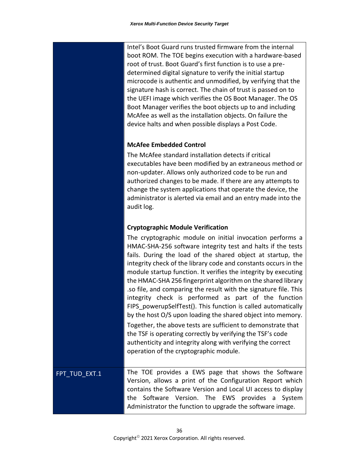Intel's Boot Guard runs trusted firmware from the internal boot ROM. The TOE begins execution with a hardware-based root of trust. Boot Guard's first function is to use a predetermined digital signature to verify the initial startup microcode is authentic and unmodified, by verifying that the signature hash is correct. The chain of trust is passed on to the UEFI image which verifies the OS Boot Manager. The OS Boot Manager verifies the boot objects up to and including McAfee as well as the installation objects. On failure the device halts and when possible displays a Post Code.

#### **McAfee Embedded Control**

The McAfee standard installation detects if critical executables have been modified by an extraneous method or non-updater. Allows only authorized code to be run and authorized changes to be made. If there are any attempts to change the system applications that operate the device, the administrator is alerted via email and an entry made into the audit log.

#### **Cryptographic Module Verification**

The cryptographic module on initial invocation performs a HMAC-SHA-256 software integrity test and halts if the tests fails. During the load of the shared object at startup, the integrity check of the library code and constants occurs in the module startup function. It verifies the integrity by executing the HMAC-SHA 256 fingerprint algorithm on the shared library .so file, and comparing the result with the signature file. This integrity check is performed as part of the function FIPS powerupSelfTest(). This function is called automatically by the host O/S upon loading the shared object into memory. Together, the above tests are sufficient to demonstrate that the TSF is operating correctly by verifying the TSF's code authenticity and integrity along with verifying the correct operation of the cryptographic module.

FPT\_TUD\_EXT.1 The TOE provides a EWS page that shows the Software Version, allows a print of the Configuration Report which contains the Software Version and Local UI access to display the Software Version. The EWS provides a System Administrator the function to upgrade the software image.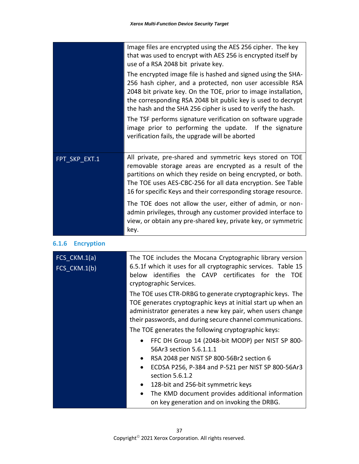|               | Image files are encrypted using the AES 256 cipher. The key<br>that was used to encrypt with AES 256 is encrypted itself by<br>use of a RSA 2048 bit private key.                                                                                                                                                                                                                                                                                                                                      |
|---------------|--------------------------------------------------------------------------------------------------------------------------------------------------------------------------------------------------------------------------------------------------------------------------------------------------------------------------------------------------------------------------------------------------------------------------------------------------------------------------------------------------------|
|               | The encrypted image file is hashed and signed using the SHA-<br>256 hash cipher, and a protected, non user accessible RSA<br>2048 bit private key. On the TOE, prior to image installation,<br>the corresponding RSA 2048 bit public key is used to decrypt<br>the hash and the SHA 256 cipher is used to verify the hash.<br>The TSF performs signature verification on software upgrade<br>image prior to performing the update. If the signature<br>verification fails, the upgrade will be aborted |
| FPT SKP EXT.1 | All private, pre-shared and symmetric keys stored on TOE<br>removable storage areas are encrypted as a result of the<br>partitions on which they reside on being encrypted, or both.<br>The TOE uses AES-CBC-256 for all data encryption. See Table<br>16 for specific Keys and their corresponding storage resource.                                                                                                                                                                                  |
|               | The TOE does not allow the user, either of admin, or non-<br>admin privileges, through any customer provided interface to<br>view, or obtain any pre-shared key, private key, or symmetric<br>key.                                                                                                                                                                                                                                                                                                     |

#### <span id="page-41-0"></span>**6.1.6 Encryption**

| FCS CKM.1(a)<br>$FCS_CKM.1(b)$ | The TOE includes the Mocana Cryptographic library version<br>6.5.1f which it uses for all cryptographic services. Table 15<br>below identifies the CAVP certificates for the TOE<br>cryptographic Services.                                          |  |  |  |  |  |
|--------------------------------|------------------------------------------------------------------------------------------------------------------------------------------------------------------------------------------------------------------------------------------------------|--|--|--|--|--|
|                                | The TOE uses CTR-DRBG to generate cryptographic keys. The<br>TOE generates cryptographic keys at initial start up when an<br>administrator generates a new key pair, when users change<br>their passwords, and during secure channel communications. |  |  |  |  |  |
|                                | The TOE generates the following cryptographic keys:                                                                                                                                                                                                  |  |  |  |  |  |
|                                | FFC DH Group 14 (2048-bit MODP) per NIST SP 800-<br>$\bullet$<br>56Ar3 section 5.6.1.1.1                                                                                                                                                             |  |  |  |  |  |
|                                | RSA 2048 per NIST SP 800-56Br2 section 6<br>$\bullet$                                                                                                                                                                                                |  |  |  |  |  |
|                                | ECDSA P256, P-384 and P-521 per NIST SP 800-56Ar3<br>section 5.6.1.2                                                                                                                                                                                 |  |  |  |  |  |
|                                | 128-bit and 256-bit symmetric keys<br>$\bullet$                                                                                                                                                                                                      |  |  |  |  |  |
|                                | The KMD document provides additional information<br>$\bullet$<br>on key generation and on invoking the DRBG.                                                                                                                                         |  |  |  |  |  |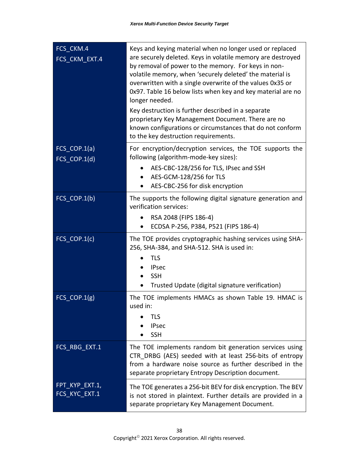| FCS_CKM.4<br>FCS_CKM_EXT.4      | Keys and keying material when no longer used or replaced<br>are securely deleted. Keys in volatile memory are destroyed<br>by removal of power to the memory. For keys in non-<br>volatile memory, when 'securely deleted' the material is<br>overwritten with a single overwrite of the values 0x35 or<br>0x97. Table 16 below lists when key and key material are no<br>longer needed.<br>Key destruction is further described in a separate<br>proprietary Key Management Document. There are no<br>known configurations or circumstances that do not conform<br>to the key destruction requirements. |
|---------------------------------|----------------------------------------------------------------------------------------------------------------------------------------------------------------------------------------------------------------------------------------------------------------------------------------------------------------------------------------------------------------------------------------------------------------------------------------------------------------------------------------------------------------------------------------------------------------------------------------------------------|
| FCS_COP.1(a)<br>FCS_COP.1(d)    | For encryption/decryption services, the TOE supports the<br>following (algorithm-mode-key sizes):                                                                                                                                                                                                                                                                                                                                                                                                                                                                                                        |
|                                 | AES-CBC-128/256 for TLS, IPsec and SSH<br>$\bullet$<br>AES-GCM-128/256 for TLS<br>$\bullet$<br>AES-CBC-256 for disk encryption                                                                                                                                                                                                                                                                                                                                                                                                                                                                           |
| FCS_COP.1(b)                    | The supports the following digital signature generation and<br>verification services:<br>RSA 2048 (FIPS 186-4)<br>$\bullet$<br>ECDSA P-256, P384, P521 (FIPS 186-4)                                                                                                                                                                                                                                                                                                                                                                                                                                      |
| FCS_COP.1(c)                    | The TOE provides cryptographic hashing services using SHA-<br>256, SHA-384, and SHA-512. SHA is used in:<br><b>TLS</b><br><b>IPsec</b><br><b>SSH</b><br>Trusted Update (digital signature verification)                                                                                                                                                                                                                                                                                                                                                                                                  |
| FCS_COP.1(g)                    | The TOE implements HMACs as shown Table 19. HMAC is<br>used in:<br><b>TLS</b><br><b>IPsec</b><br><b>SSH</b>                                                                                                                                                                                                                                                                                                                                                                                                                                                                                              |
| FCS_RBG_EXT.1                   | The TOE implements random bit generation services using<br>CTR DRBG (AES) seeded with at least 256-bits of entropy<br>from a hardware noise source as further described in the<br>separate proprietary Entropy Description document.                                                                                                                                                                                                                                                                                                                                                                     |
| FPT_KYP_EXT.1,<br>FCS_KYC_EXT.1 | The TOE generates a 256-bit BEV for disk encryption. The BEV<br>is not stored in plaintext. Further details are provided in a<br>separate proprietary Key Management Document.                                                                                                                                                                                                                                                                                                                                                                                                                           |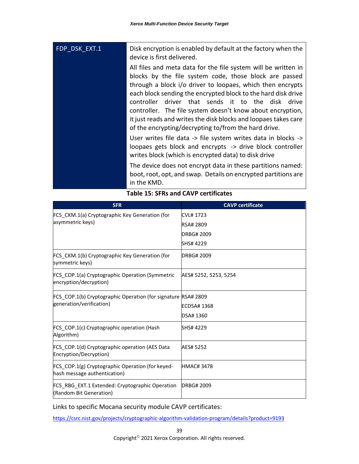| FDP DSK EXT.1 | Disk encryption is enabled by default at the factory when the<br>device is first delivered.                                                                                                                                                                                                                                                                                                                                                                                                                  |  |  |
|---------------|--------------------------------------------------------------------------------------------------------------------------------------------------------------------------------------------------------------------------------------------------------------------------------------------------------------------------------------------------------------------------------------------------------------------------------------------------------------------------------------------------------------|--|--|
|               | All files and meta data for the file system will be written in<br>blocks by the file system code, those block are passed<br>through a block i/o driver to loopaes, which then encrypts<br>each block sending the encrypted block to the hard disk drive<br>driver that sends it to the disk<br>controller.<br>drive<br>controller. The file system doesn't know about encryption,<br>it just reads and writes the disk blocks and loopaes takes care<br>of the encrypting/decrypting to/from the hard drive. |  |  |
|               | User writes file data -> file system writes data in blocks -><br>loopaes gets block and encrypts -> drive block controller<br>writes block (which is encrypted data) to disk drive                                                                                                                                                                                                                                                                                                                           |  |  |
|               | The device does not encrypt data in these partitions named:<br>boot, root, opt, and swap. Details on encrypted partitions are<br>in the KMD.                                                                                                                                                                                                                                                                                                                                                                 |  |  |

| <b>SFR</b>                                                                       | <b>CAVP</b> certificate |
|----------------------------------------------------------------------------------|-------------------------|
| FCS_CKM.1(a) Cryptographic Key Generation (for                                   | <b>CVL#1723</b>         |
| asymmetric keys)                                                                 | <b>RSA# 2809</b>        |
|                                                                                  | DRBG# 2009              |
|                                                                                  | SHS# 4229               |
| FCS_CKM.1(b) Cryptographic Key Generation (for<br>symmetric keys)                | DRBG# 2009              |
| <b>FCS COP.1(a) Cryptographic Operation (Symmetric</b><br>encryption/decryption) | AES# 5252, 5253, 5254   |
| FCS COP.1(b) Cryptographic Operation (for signature RSA# 2809                    |                         |
| generation/verification)                                                         | <b>ECDSA#1368</b>       |
|                                                                                  | DSA# 1360               |
| FCS COP.1(c) Cryptographic operation (Hash<br>Algorithm)                         | SHS# 4229               |
| FCS_COP.1(d) Cryptographic operation (AES Data<br>Encryption/Decryption)         | AES# 5252               |
| FCS_COP.1(g) Cryptographic Operation (for keyed-<br>hash message authentication) | <b>HMAC#3478</b>        |
| FCS RBG EXT.1 Extended: Cryptographic Operation<br>(Random Bit Generation)       | <b>DRBG#2009</b>        |

#### **Table 15: SFRs and CAVP certificates**

Links to specific Mocana security module CAVP certificates:

<https://csrc.nist.gov/projects/cryptographic-algorithm-validation-program/details?product=9193>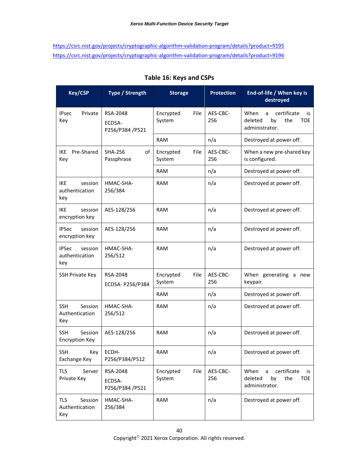<https://csrc.nist.gov/projects/cryptographic-algorithm-validation-program/details?product=9195> <https://csrc.nist.gov/projects/cryptographic-algorithm-validation-program/details?product=9196>

| <b>Key/CSP</b>                                   | Type / Strength                       | <b>Storage</b>              | <b>Protection</b> | End-of-life / When key is<br>destroyed                                                  |
|--------------------------------------------------|---------------------------------------|-----------------------------|-------------------|-----------------------------------------------------------------------------------------|
| Private<br><b>IPsec</b><br>Key                   | RSA-2048<br>ECDSA-<br>P256/P384 /P521 | Encrypted<br>File<br>System | AES-CBC-<br>256   | When<br>certificate<br>a<br>is.<br>deleted<br>by<br>the<br><b>TOE</b><br>administrator. |
|                                                  |                                       | RAM                         | n/a               | Destroyed at power off.                                                                 |
| Pre-Shared<br>IKE<br>Key                         | <b>SHA-256</b><br>of<br>Passphrase    | Encrypted<br>File<br>System | AES-CBC-<br>256   | When a new pre-shared key<br>is configured.                                             |
|                                                  |                                       | <b>RAM</b>                  | n/a               | Destroyed at power off.                                                                 |
| <b>IKE</b><br>session<br>authentication<br>key   | HMAC-SHA-<br>256/384                  | <b>RAM</b>                  | n/a               | Destroyed at power off.                                                                 |
| <b>IKE</b><br>session<br>encryption key          | AES-128/256                           | <b>RAM</b>                  | n/a               | Destroyed at power off.                                                                 |
| <b>IPSec</b><br>session<br>encryption key        | AES-128/256                           | <b>RAM</b>                  | n/a               | Destroyed at power off.                                                                 |
| <b>IPSec</b><br>session<br>authentication<br>key | HMAC-SHA-<br>256/512                  | <b>RAM</b>                  | n/a               | Destroyed at power off.                                                                 |
| <b>SSH Private Key</b>                           | RSA-2048<br>ECDSA- P256/P384          | Encrypted<br>File<br>System | AES-CBC-<br>256   | When generating a new<br>keypair.                                                       |
|                                                  |                                       | <b>RAM</b>                  | n/a               | Destroyed at power off.                                                                 |
| <b>SSH</b><br>Session<br>Authentication<br>Key   | HMAC-SHA-<br>256/512                  | <b>RAM</b>                  | n/a               | Destroyed at power off.                                                                 |
| Session<br><b>SSH</b><br><b>Encryption Key</b>   | AES-128/256                           | <b>RAM</b>                  | n/a               | Destroyed at power off.                                                                 |
| <b>SSH</b><br>Key<br>Exchange Key                | ECDH-<br>P256/P384/P512               | <b>RAM</b>                  | n/a               | Destroyed at power off.                                                                 |
| TLS<br>Server<br>Private Key                     | RSA-2048<br>ECDSA-<br>P256/P384 /P521 | Encrypted<br>File<br>System | AES-CBC-<br>256   | When<br>certificate<br>a<br>is<br>deleted<br>by<br>the<br><b>TOE</b><br>administrator.  |
| Session<br>TLS<br>Authentication<br>Key          | HMAC-SHA-<br>256/384                  | <b>RAM</b>                  | n/a               | Destroyed at power off.                                                                 |

#### **Table 16: Keys and CSPs**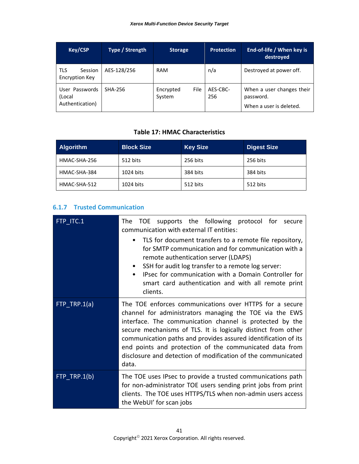| <b>Key/CSP</b>                                 | Type / Strength | <b>Storage</b>              | <b>Protection</b> | End-of-life / When key is<br>destroved                            |
|------------------------------------------------|-----------------|-----------------------------|-------------------|-------------------------------------------------------------------|
| <b>TLS</b><br>Session<br><b>Encryption Key</b> | AES-128/256     | RAM                         | n/a               | Destroyed at power off.                                           |
| User Passwords<br>(Local<br>Authentication)    | <b>SHA-256</b>  | File<br>Encrypted<br>System | AES-CBC-<br>256   | When a user changes their<br>password.<br>When a user is deleted. |

#### **Table 17: HMAC Characteristics**

| Algorithm    | <b>Block Size</b> | <b>Key Size</b> | <b>Digest Size</b> |
|--------------|-------------------|-----------------|--------------------|
| HMAC-SHA-256 | 512 bits          | 256 bits        | 256 bits           |
| HMAC-SHA-384 | 1024 bits         | 384 bits        | 384 bits           |
| HMAC-SHA-512 | 1024 bits         | 512 bits        | 512 bits           |

#### <span id="page-45-0"></span>**6.1.7 Trusted Communication**

| FTP ITC.1      | supports the following protocol for secure<br><b>TOE</b><br>The l<br>communication with external IT entities:                                                                                                                                                                                                                                                                                                                                         |  |
|----------------|-------------------------------------------------------------------------------------------------------------------------------------------------------------------------------------------------------------------------------------------------------------------------------------------------------------------------------------------------------------------------------------------------------------------------------------------------------|--|
|                | TLS for document transfers to a remote file repository,<br>$\bullet$<br>for SMTP communication and for communication with a<br>remote authentication server (LDAPS)<br>SSH for audit log transfer to a remote log server:<br>$\bullet$<br>IPsec for communication with a Domain Controller for<br>$\bullet$<br>smart card authentication and with all remote print<br>clients.                                                                        |  |
| $FTP$ TRP.1(a) | The TOE enforces communications over HTTPS for a secure<br>channel for administrators managing the TOE via the EWS<br>interface. The communication channel is protected by the<br>secure mechanisms of TLS. It is logically distinct from other<br>communication paths and provides assured identification of its<br>end points and protection of the communicated data from<br>disclosure and detection of modification of the communicated<br>data. |  |
| FTP TRP.1(b)   | The TOE uses IPsec to provide a trusted communications path<br>for non-administrator TOE users sending print jobs from print<br>clients. The TOE uses HTTPS/TLS when non-admin users access<br>the WebUI' for scan jobs                                                                                                                                                                                                                               |  |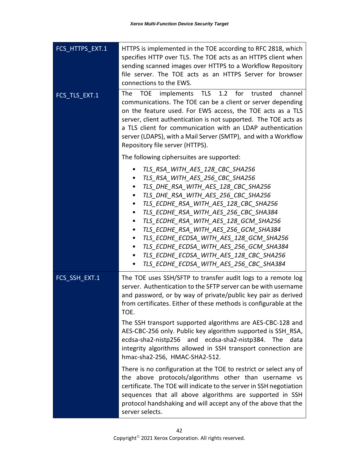| FCS_HTTPS_EXT.1 | HTTPS is implemented in the TOE according to RFC 2818, which<br>specifies HTTP over TLS. The TOE acts as an HTTPS client when<br>sending scanned images over HTTPS to a Workflow Repository<br>file server. The TOE acts as an HTTPS Server for browser<br>connections to the EWS.                                                                                                                                                                                                                                                            |  |
|-----------------|-----------------------------------------------------------------------------------------------------------------------------------------------------------------------------------------------------------------------------------------------------------------------------------------------------------------------------------------------------------------------------------------------------------------------------------------------------------------------------------------------------------------------------------------------|--|
| FCS_TLS_EXT.1   | 1.2<br><b>TOE</b><br>implements TLS<br>for<br>The<br>trusted<br>channel<br>communications. The TOE can be a client or server depending<br>on the feature used. For EWS access, the TOE acts as a TLS<br>server, client authentication is not supported. The TOE acts as<br>a TLS client for communication with an LDAP authentication<br>server (LDAPS), with a Mail Server (SMTP), and with a Workflow<br>Repository file server (HTTPS).                                                                                                    |  |
|                 | The following ciphersuites are supported:                                                                                                                                                                                                                                                                                                                                                                                                                                                                                                     |  |
|                 | TLS RSA WITH AES 128 CBC SHA256<br>٠<br>TLS RSA WITH AES 256 CBC SHA256<br>٠<br>TLS DHE RSA WITH AES 128 CBC SHA256<br>٠<br>TLS DHE RSA WITH AES 256 CBC SHA256<br>٠<br>TLS ECDHE RSA WITH AES 128 CBC SHA256<br>٠<br>TLS_ECDHE_RSA_WITH_AES_256_CBC_SHA384<br>٠<br>TLS ECDHE RSA WITH AES 128 GCM SHA256<br>٠<br>TLS ECDHE RSA WITH AES 256 GCM SHA384<br>٠<br>TLS ECDHE ECDSA WITH AES 128 GCM SHA256<br>٠<br>TLS ECDHE ECDSA WITH AES 256 GCM SHA384<br>TLS ECDHE ECDSA WITH AES 128 CBC SHA256<br>TLS_ECDHE_ECDSA_WITH_AES_256_CBC_SHA384 |  |
| FCS_SSH_EXT.1   | The TOE uses SSH/SFTP to transfer audit logs to a remote log<br>server. Authentication to the SFTP server can be with username<br>and password, or by way of private/public key pair as derived<br>from certificates. Either of these methods is configurable at the<br>TOE.                                                                                                                                                                                                                                                                  |  |
|                 | The SSH transport supported algorithms are AES-CBC-128 and<br>AES-CBC-256 only. Public key algorithm supported is SSH RSA,<br>ecdsa-sha2-nistp256 and ecdsa-sha2-nistp384. The<br>data<br>integrity algorithms allowed in SSH transport connection are<br>hmac-sha2-256, HMAC-SHA2-512.                                                                                                                                                                                                                                                       |  |
|                 | There is no configuration at the TOE to restrict or select any of<br>the above protocols/algorithms other than username vs<br>certificate. The TOE will indicate to the server in SSH negotiation<br>sequences that all above algorithms are supported in SSH<br>protocol handshaking and will accept any of the above that the<br>server selects.                                                                                                                                                                                            |  |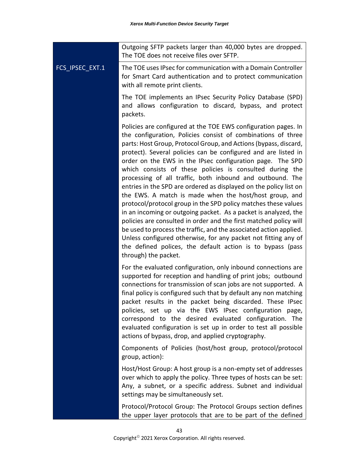|                 | Outgoing SFTP packets larger than 40,000 bytes are dropped.<br>The TOE does not receive files over SFTP.                                                                                                                                                                                                                                                                                                                                                                                                                                                                                                                                                                                                                                                                                                                                                                                                                                                                                                                          |
|-----------------|-----------------------------------------------------------------------------------------------------------------------------------------------------------------------------------------------------------------------------------------------------------------------------------------------------------------------------------------------------------------------------------------------------------------------------------------------------------------------------------------------------------------------------------------------------------------------------------------------------------------------------------------------------------------------------------------------------------------------------------------------------------------------------------------------------------------------------------------------------------------------------------------------------------------------------------------------------------------------------------------------------------------------------------|
| FCS_IPSEC_EXT.1 | The TOE uses IPsec for communication with a Domain Controller<br>for Smart Card authentication and to protect communication<br>with all remote print clients.                                                                                                                                                                                                                                                                                                                                                                                                                                                                                                                                                                                                                                                                                                                                                                                                                                                                     |
|                 | The TOE implements an IPsec Security Policy Database (SPD)<br>and allows configuration to discard, bypass, and protect<br>packets.                                                                                                                                                                                                                                                                                                                                                                                                                                                                                                                                                                                                                                                                                                                                                                                                                                                                                                |
|                 | Policies are configured at the TOE EWS configuration pages. In<br>the configuration, Policies consist of combinations of three<br>parts: Host Group, Protocol Group, and Actions (bypass, discard,<br>protect). Several policies can be configured and are listed in<br>order on the EWS in the IPsec configuration page. The SPD<br>which consists of these policies is consulted during the<br>processing of all traffic, both inbound and outbound. The<br>entries in the SPD are ordered as displayed on the policy list on<br>the EWS. A match is made when the host/host group, and<br>protocol/protocol group in the SPD policy matches these values<br>in an incoming or outgoing packet. As a packet is analyzed, the<br>policies are consulted in order and the first matched policy will<br>be used to process the traffic, and the associated action applied.<br>Unless configured otherwise, for any packet not fitting any of<br>the defined polices, the default action is to bypass (pass<br>through) the packet. |
|                 | For the evaluated configuration, only inbound connections are<br>supported for reception and handling of print jobs; outbound<br>connections for transmission of scan jobs are not supported. A<br>final policy is configured such that by default any non matching<br>packet results in the packet being discarded. These IPsec<br>policies, set up via the EWS IPsec configuration page,<br>correspond to the desired evaluated configuration. The<br>evaluated configuration is set up in order to test all possible<br>actions of bypass, drop, and applied cryptography.                                                                                                                                                                                                                                                                                                                                                                                                                                                     |
|                 | Components of Policies (host/host group, protocol/protocol<br>group, action):                                                                                                                                                                                                                                                                                                                                                                                                                                                                                                                                                                                                                                                                                                                                                                                                                                                                                                                                                     |
|                 | Host/Host Group: A host group is a non-empty set of addresses<br>over which to apply the policy. Three types of hosts can be set:<br>Any, a subnet, or a specific address. Subnet and individual<br>settings may be simultaneously set.                                                                                                                                                                                                                                                                                                                                                                                                                                                                                                                                                                                                                                                                                                                                                                                           |
|                 | Protocol/Protocol Group: The Protocol Groups section defines<br>the upper layer protocols that are to be part of the defined                                                                                                                                                                                                                                                                                                                                                                                                                                                                                                                                                                                                                                                                                                                                                                                                                                                                                                      |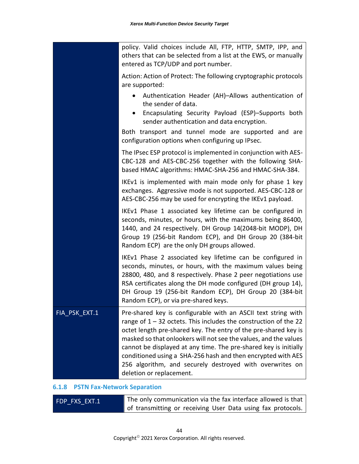policy. Valid choices include All, FTP, HTTP, SMTP, IPP, and others that can be selected from a list at the EWS, or manually entered as TCP/UDP and port number. Action: Action of Protect: The following cryptographic protocols are supported: • Authentication Header (AH)–Allows authentication of the sender of data. • Encapsulating Security Payload (ESP)–Supports both sender authentication and data encryption. Both transport and tunnel mode are supported and are configuration options when configuring up IPsec. The IPsec ESP protocol is implemented in conjunction with AES-CBC-128 and AES-CBC-256 together with the following SHAbased HMAC algorithms: HMAC-SHA-256 and HMAC-SHA-384. IKEv1 is implemented with main mode only for phase 1 key exchanges. Aggressive mode is not supported. AES-CBC-128 or AES-CBC-256 may be used for encrypting the IKEv1 payload. IKEv1 Phase 1 associated key lifetime can be configured in seconds, minutes, or hours, with the maximums being 86400, 1440, and 24 respectively. DH Group 14(2048-bit MODP), DH Group 19 (256-bit Random ECP), and DH Group 20 (384-bit Random ECP) are the only DH groups allowed. IKEv1 Phase 2 associated key lifetime can be configured in seconds, minutes, or hours, with the maximum values being 28800, 480, and 8 respectively. Phase 2 peer negotiations use RSA certificates along the DH mode configured (DH group 14), DH Group 19 (256-bit Random ECP), DH Group 20 (384-bit Random ECP), or via pre-shared keys. FIA PSK EXT.1 Pre-shared key is configurable with an ASCII text string with range of  $1 - 32$  octets. This includes the construction of the 22 octet length pre-shared key. The entry of the pre-shared key is masked so that onlookers will not see the values, and the values cannot be displayed at any time. The pre-shared key is initially conditioned using a SHA-256 hash and then encrypted with AES 256 algorithm, and securely destroyed with overwrites on deletion or replacement.

#### <span id="page-48-0"></span>**6.1.8 PSTN Fax-Network Separation**

| FDP FXS EXT.1 | The only communication via the fax interface allowed is that |
|---------------|--------------------------------------------------------------|
|               | of transmitting or receiving User Data using fax protocols.  |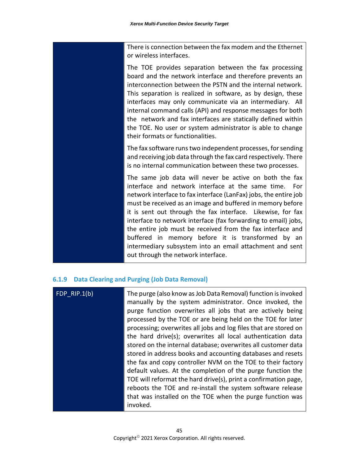There is connection between the fax modem and the Ethernet or wireless interfaces.

The TOE provides separation between the fax processing board and the network interface and therefore prevents an interconnection between the PSTN and the internal network. This separation is realized in software, as by design, these interfaces may only communicate via an intermediary. All internal command calls (API) and response messages for both the network and fax interfaces are statically defined within the TOE. No user or system administrator is able to change their formats or functionalities.

The fax software runs two independent processes, for sending and receiving job data through the fax card respectively. There is no internal communication between these two processes.

The same job data will never be active on both the fax interface and network interface at the same time. For network interface to fax interface (LanFax) jobs, the entire job must be received as an image and buffered in memory before it is sent out through the fax interface. Likewise, for fax interface to network interface (fax forwarding to email) jobs, the entire job must be received from the fax interface and buffered in memory before it is transformed by an intermediary subsystem into an email attachment and sent out through the network interface.

#### <span id="page-49-0"></span>**6.1.9 Data Clearing and Purging (Job Data Removal)**

| FDP $RIP.1(b)$ | The purge (also know as Job Data Removal) function is invoked<br>manually by the system administrator. Once invoked, the<br>purge function overwrites all jobs that are actively being<br>processed by the TOE or are being held on the TOE for later<br>processing; overwrites all jobs and log files that are stored on<br>the hard drive(s); overwrites all local authentication data<br>stored on the internal database; overwrites all customer data<br>stored in address books and accounting databases and resets<br>the fax and copy controller NVM on the TOE to their factory<br>default values. At the completion of the purge function the<br>TOE will reformat the hard drive(s), print a confirmation page,<br>reboots the TOE and re-install the system software release<br>that was installed on the TOE when the purge function was |
|----------------|------------------------------------------------------------------------------------------------------------------------------------------------------------------------------------------------------------------------------------------------------------------------------------------------------------------------------------------------------------------------------------------------------------------------------------------------------------------------------------------------------------------------------------------------------------------------------------------------------------------------------------------------------------------------------------------------------------------------------------------------------------------------------------------------------------------------------------------------------|
|                | invoked.                                                                                                                                                                                                                                                                                                                                                                                                                                                                                                                                                                                                                                                                                                                                                                                                                                             |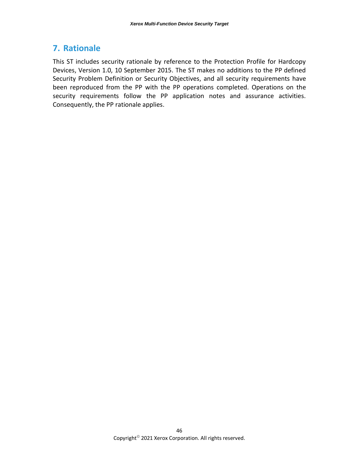## <span id="page-50-0"></span>**7. Rationale**

This ST includes security rationale by reference to the Protection Profile for Hardcopy Devices, Version 1.0, 10 September 2015. The ST makes no additions to the PP defined Security Problem Definition or Security Objectives, and all security requirements have been reproduced from the PP with the PP operations completed. Operations on the security requirements follow the PP application notes and assurance activities. Consequently, the PP rationale applies.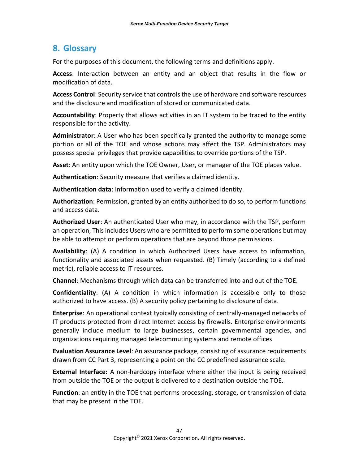## <span id="page-51-0"></span>**8. Glossary**

For the purposes of this document, the following terms and definitions apply.

**Access**: Interaction between an entity and an object that results in the flow or modification of data.

**Access Control**: Security service that controls the use of hardware and software resources and the disclosure and modification of stored or communicated data.

**Accountability**: Property that allows activities in an IT system to be traced to the entity responsible for the activity.

**Administrator**: A User who has been specifically granted the authority to manage some portion or all of the TOE and whose actions may affect the TSP. Administrators may possess special privileges that provide capabilities to override portions of the TSP.

**Asset**: An entity upon which the TOE Owner, User, or manager of the TOE places value.

**Authentication**: Security measure that verifies a claimed identity.

**Authentication data**: Information used to verify a claimed identity.

**Authorization**: Permission, granted by an entity authorized to do so, to perform functions and access data.

**Authorized User**: An authenticated User who may, in accordance with the TSP, perform an operation, This includes Users who are permitted to perform some operations but may be able to attempt or perform operations that are beyond those permissions.

**Availability**: (A) A condition in which Authorized Users have access to information, functionality and associated assets when requested. (B) Timely (according to a defined metric), reliable access to IT resources.

**Channel**: Mechanisms through which data can be transferred into and out of the TOE.

**Confidentiality**: (A) A condition in which information is accessible only to those authorized to have access. (B) A security policy pertaining to disclosure of data.

**Enterprise**: An operational context typically consisting of centrally-managed networks of IT products protected from direct Internet access by firewalls. Enterprise environments generally include medium to large businesses, certain governmental agencies, and organizations requiring managed telecommuting systems and remote offices

**Evaluation Assurance Level**: An assurance package, consisting of assurance requirements drawn from CC Part 3, representing a point on the CC predefined assurance scale.

**External Interface:** A non-hardcopy interface where either the input is being received from outside the TOE or the output is delivered to a destination outside the TOE.

**Function**: an entity in the TOE that performs processing, storage, or transmission of data that may be present in the TOE.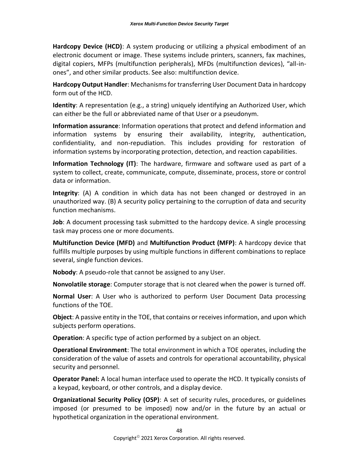**Hardcopy Device (HCD)**: A system producing or utilizing a physical embodiment of an electronic document or image. These systems include printers, scanners, fax machines, digital copiers, MFPs (multifunction peripherals), MFDs (multifunction devices), "all-inones", and other similar products. See also: multifunction device.

**Hardcopy Output Handler**: Mechanisms for transferring User Document Data in hardcopy form out of the HCD.

**Identity**: A representation (e.g., a string) uniquely identifying an Authorized User, which can either be the full or abbreviated name of that User or a pseudonym.

**Information assurance**: Information operations that protect and defend information and information systems by ensuring their availability, integrity, authentication, confidentiality, and non-repudiation. This includes providing for restoration of information systems by incorporating protection, detection, and reaction capabilities.

**Information Technology (IT)**: The hardware, firmware and software used as part of a system to collect, create, communicate, compute, disseminate, process, store or control data or information.

**Integrity**: (A) A condition in which data has not been changed or destroyed in an unauthorized way. (B) A security policy pertaining to the corruption of data and security function mechanisms.

**Job**: A document processing task submitted to the hardcopy device. A single processing task may process one or more documents.

**Multifunction Device (MFD)** and **Multifunction Product (MFP)**: A hardcopy device that fulfills multiple purposes by using multiple functions in different combinations to replace several, single function devices.

**Nobody**: A pseudo-role that cannot be assigned to any User.

**Nonvolatile storage**: Computer storage that is not cleared when the power is turned off.

**Normal User**: A User who is authorized to perform User Document Data processing functions of the TOE.

**Object**: A passive entity in the TOE, that contains or receives information, and upon which subjects perform operations.

**Operation**: A specific type of action performed by a subject on an object.

**Operational Environment**: The total environment in which a TOE operates, including the consideration of the value of assets and controls for operational accountability, physical security and personnel.

**Operator Panel:** A local human interface used to operate the HCD. It typically consists of a keypad, keyboard, or other controls, and a display device.

**Organizational Security Policy (OSP)**: A set of security rules, procedures, or guidelines imposed (or presumed to be imposed) now and/or in the future by an actual or hypothetical organization in the operational environment.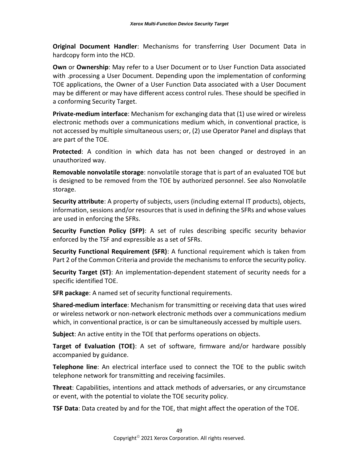**Original Document Handler**: Mechanisms for transferring User Document Data in hardcopy form into the HCD.

**Own** or **Ownership**: May refer to a User Document or to User Function Data associated with .processing a User Document. Depending upon the implementation of conforming TOE applications, the Owner of a User Function Data associated with a User Document may be different or may have different access control rules. These should be specified in a conforming Security Target.

**Private-medium interface**: Mechanism for exchanging data that (1) use wired or wireless electronic methods over a communications medium which, in conventional practice, is not accessed by multiple simultaneous users; or, (2) use Operator Panel and displays that are part of the TOE.

**Protected**: A condition in which data has not been changed or destroyed in an unauthorized way.

**Removable nonvolatile storage**: nonvolatile storage that is part of an evaluated TOE but is designed to be removed from the TOE by authorized personnel. See also Nonvolatile storage.

**Security attribute**: A property of subjects, users (including external IT products), objects, information, sessions and/or resources that is used in defining the SFRs and whose values are used in enforcing the SFRs.

**Security Function Policy (SFP)**: A set of rules describing specific security behavior enforced by the TSF and expressible as a set of SFRs.

**Security Functional Requirement (SFR)**: A functional requirement which is taken from Part 2 of the Common Criteria and provide the mechanisms to enforce the security policy.

**Security Target (ST)**: An implementation-dependent statement of security needs for a specific identified TOE.

**SFR package**: A named set of security functional requirements.

**Shared-medium interface**: Mechanism for transmitting or receiving data that uses wired or wireless network or non-network electronic methods over a communications medium which, in conventional practice, is or can be simultaneously accessed by multiple users.

**Subject**: An active entity in the TOE that performs operations on objects.

**Target of Evaluation (TOE)**: A set of software, firmware and/or hardware possibly accompanied by guidance.

**Telephone line**: An electrical interface used to connect the TOE to the public switch telephone network for transmitting and receiving facsimiles.

**Threat**: Capabilities, intentions and attack methods of adversaries, or any circumstance or event, with the potential to violate the TOE security policy.

**TSF Data**: Data created by and for the TOE, that might affect the operation of the TOE.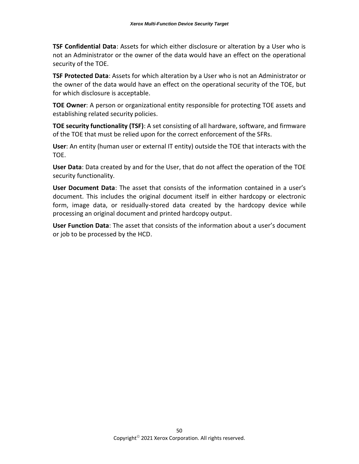**TSF Confidential Data**: Assets for which either disclosure or alteration by a User who is not an Administrator or the owner of the data would have an effect on the operational security of the TOE.

**TSF Protected Data**: Assets for which alteration by a User who is not an Administrator or the owner of the data would have an effect on the operational security of the TOE, but for which disclosure is acceptable.

**TOE Owner**: A person or organizational entity responsible for protecting TOE assets and establishing related security policies.

**TOE security functionality (TSF)**: A set consisting of all hardware, software, and firmware of the TOE that must be relied upon for the correct enforcement of the SFRs.

**User**: An entity (human user or external IT entity) outside the TOE that interacts with the TOE.

**User Data**: Data created by and for the User, that do not affect the operation of the TOE security functionality.

**User Document Data**: The asset that consists of the information contained in a user's document. This includes the original document itself in either hardcopy or electronic form, image data, or residually-stored data created by the hardcopy device while processing an original document and printed hardcopy output.

**User Function Data**: The asset that consists of the information about a user's document or job to be processed by the HCD.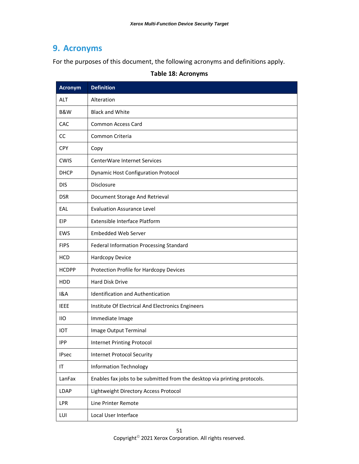## <span id="page-55-0"></span>**9. Acronyms**

For the purposes of this document, the following acronyms and definitions apply.

| <b>Acronym</b> | <b>Definition</b>                                                         |
|----------------|---------------------------------------------------------------------------|
| <b>ALT</b>     | Alteration                                                                |
| <b>B&amp;W</b> | <b>Black and White</b>                                                    |
| CAC            | <b>Common Access Card</b>                                                 |
| CC             | Common Criteria                                                           |
| <b>CPY</b>     | Copy                                                                      |
| <b>CWIS</b>    | <b>CenterWare Internet Services</b>                                       |
| <b>DHCP</b>    | <b>Dynamic Host Configuration Protocol</b>                                |
| <b>DIS</b>     | Disclosure                                                                |
| <b>DSR</b>     | Document Storage And Retrieval                                            |
| EAL            | <b>Evaluation Assurance Level</b>                                         |
| <b>EIP</b>     | <b>Extensible Interface Platform</b>                                      |
| EWS            | <b>Embedded Web Server</b>                                                |
| <b>FIPS</b>    | Federal Information Processing Standard                                   |
| <b>HCD</b>     | Hardcopy Device                                                           |
| <b>HCDPP</b>   | Protection Profile for Hardcopy Devices                                   |
| <b>HDD</b>     | Hard Disk Drive                                                           |
| 1&A            | <b>Identification and Authentication</b>                                  |
| <b>IEEE</b>    | Institute Of Electrical And Electronics Engineers                         |
| 11O            | Immediate Image                                                           |
| IOT            | Image Output Terminal                                                     |
| <b>IPP</b>     | <b>Internet Printing Protocol</b>                                         |
| <b>IPsec</b>   | <b>Internet Protocol Security</b>                                         |
| IT             | <b>Information Technology</b>                                             |
| LanFax         | Enables fax jobs to be submitted from the desktop via printing protocols. |
| <b>LDAP</b>    | Lightweight Directory Access Protocol                                     |
| LPR            | Line Printer Remote                                                       |
| LUI            | Local User Interface                                                      |

#### **Table 18: Acronyms**